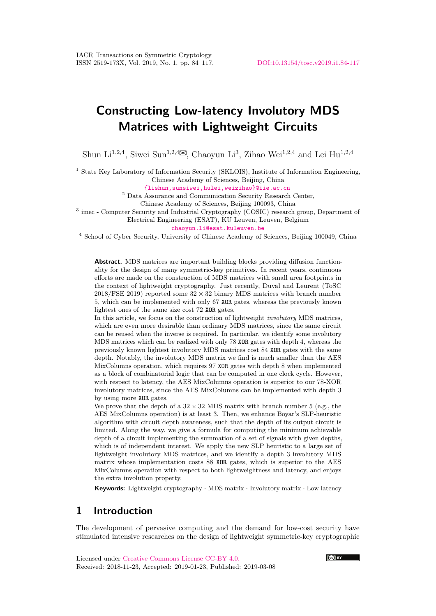# **Constructing Low-latency Involutory MDS Matrices with Lightweight Circuits**

Shun Li<sup>1,2,4</sup>, Siwei Sun<sup>1,2,4</sup> $\boxtimes$ , Chaoyun Li<sup>3</sup>, Zihao Wei<sup>1,2,4</sup> and Lei Hu<sup>1,2,4</sup>

<sup>1</sup> State Key Laboratory of Information Security (SKLOIS), Institute of Information Engineering, Chinese Academy of Sciences, Beijing, China

[{lishun,sunsiwei,hulei,weizihao}@iie.ac.cn](mailto:{lishun,sunsiwei,hulei,weizihao}@iie.ac.cn)

<sup>2</sup> Data Assurance and Communication Security Research Center,

Chinese Academy of Sciences, Beijing 100093, China

<sup>3</sup> imec - Computer Security and Industrial Cryptography (COSIC) research group, Department of Electrical Engineering (ESAT), KU Leuven, Leuven, Belgium

[chaoyun.li@esat.kuleuven.be](mailto:chaoyun.li@esat.kuleuven.be)

<sup>4</sup> School of Cyber Security, University of Chinese Academy of Sciences, Beijing 100049, China

**Abstract.** MDS matrices are important building blocks providing diffusion functionality for the design of many symmetric-key primitives. In recent years, continuous efforts are made on the construction of MDS matrices with small area footprints in the context of lightweight cryptography. Just recently, Duval and Leurent (ToSC  $2018$ /FSE 2019) reported some  $32 \times 32$  binary MDS matrices with branch number 5, which can be implemented with only 67 XOR gates, whereas the previously known lightest ones of the same size cost 72 XOR gates.

In this article, we focus on the construction of lightweight *involutory* MDS matrices, which are even more desirable than ordinary MDS matrices, since the same circuit can be reused when the inverse is required. In particular, we identify some involutory MDS matrices which can be realized with only 78 XOR gates with depth 4, whereas the previously known lightest involutory MDS matrices cost 84 XOR gates with the same depth. Notably, the involutory MDS matrix we find is much smaller than the AES MixColumns operation, which requires 97 XOR gates with depth 8 when implemented as a block of combinatorial logic that can be computed in one clock cycle. However, with respect to latency, the AES MixColumns operation is superior to our 78-XOR involutory matrices, since the AES MixColumns can be implemented with depth 3 by using more XOR gates.

We prove that the depth of a  $32 \times 32$  MDS matrix with branch number 5 (e.g., the AES MixColumns operation) is at least 3. Then, we enhance Boyar's SLP-heuristic algorithm with circuit depth awareness, such that the depth of its output circuit is limited. Along the way, we give a formula for computing the minimum achievable depth of a circuit implementing the summation of a set of signals with given depths, which is of independent interest. We apply the new SLP heuristic to a large set of lightweight involutory MDS matrices, and we identify a depth 3 involutory MDS matrix whose implementation costs 88 XOR gates, which is superior to the AES MixColumns operation with respect to both lightweightness and latency, and enjoys the extra involution property.

**Keywords:** Lightweight cryptography · MDS matrix · Involutory matrix · Low latency

## **1 Introduction**

The development of pervasive computing and the demand for low-cost security have stimulated intensive researches on the design of lightweight symmetric-key cryptographic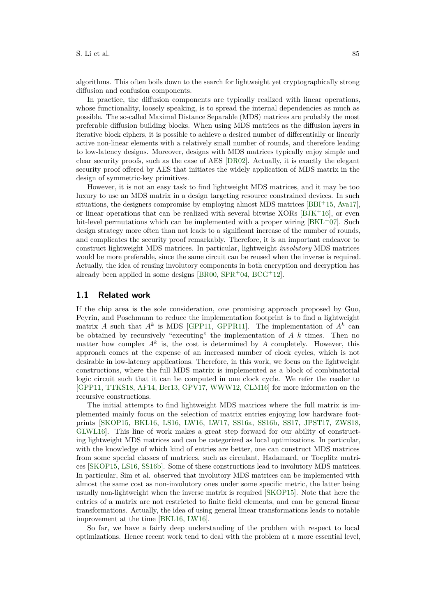algorithms. This often boils down to the search for lightweight yet cryptographically strong diffusion and confusion components.

In practice, the diffusion components are typically realized with linear operations, whose functionality, loosely speaking, is to spread the internal dependencies as much as possible. The so-called Maximal Distance Separable (MDS) matrices are probably the most preferable diffusion building blocks. When using MDS matrices as the diffusion layers in iterative block ciphers, it is possible to achieve a desired number of differentially or linearly active non-linear elements with a relatively small number of rounds, and therefore leading to low-latency designs. Moreover, designs with MDS matrices typically enjoy simple and clear security proofs, such as the case of AES [\[DR02\]](#page-17-0). Actually, it is exactly the elegant security proof offered by AES that initiates the widely application of MDS matrix in the design of symmetric-key primitives.

However, it is not an easy task to find lightweight MDS matrices, and it may be too luxury to use an MDS matrix in a design targeting resource constrained devices. In such situations, the designers compromise by employing almost MDS matrices [\[BBI](#page-16-0)<sup>+</sup>15, [Ava17\]](#page-15-0), or linear operations that can be realized with several bitwise XORs  $[BJK^+16]$  $[BJK^+16]$ , or even bit-level permutations which can be implemented with a proper wiring  $[BKL+07]$  $[BKL+07]$ . Such design strategy more often than not leads to a significant increase of the number of rounds, and complicates the security proof remarkably. Therefore, it is an important endeavor to construct lightweight MDS matrices. In particular, lightweight *involutory* MDS matrices would be more preferable, since the same circuit can be reused when the inverse is required. Actually, the idea of reusing involutory components in both encryption and decryption has already been applied in some designs [\[BR00,](#page-16-3) [SPR](#page-17-1)+04, [BCG](#page-16-4)+12].

#### **1.1 Related work**

If the chip area is the sole consideration, one promising approach proposed by Guo, Peyrin, and Poschmann to reduce the implementation footprint is to find a lightweight matrix *A* such that  $A^k$  is MDS [\[GPP11,](#page-17-2) [GPPR11\]](#page-17-3). The implementation of  $A^k$  can be obtained by recursively "executing" the implementation of *A k* times. Then no matter how complex  $A^k$  is, the cost is determined by  $A$  completely. However, this approach comes at the expense of an increased number of clock cycles, which is not desirable in low-latency applications. Therefore, in this work, we focus on the lightweight constructions, where the full MDS matrix is implemented as a block of combinatorial logic circuit such that it can be computed in one clock cycle. We refer the reader to [\[GPP11,](#page-17-2) [TTKS18,](#page-18-0) [AF14,](#page-15-1) [Ber13,](#page-16-5) [GPV17,](#page-17-4) [WWW12,](#page-18-1) [CLM16\]](#page-16-6) for more information on the recursive constructions.

The initial attempts to find lightweight MDS matrices where the full matrix is implemented mainly focus on the selection of matrix entries enjoying low hardware footprints [\[SKOP15,](#page-17-5) [BKL16,](#page-16-7) [LS16,](#page-17-6) [LW16,](#page-17-7) [LW17,](#page-17-8) [SS16a,](#page-17-9) [SS16b,](#page-17-10) [SS17,](#page-17-11) [JPST17,](#page-17-12) [ZWS18,](#page-18-2) [GLWL16\]](#page-17-13). This line of work makes a great step forward for our ability of constructing lightweight MDS matrices and can be categorized as local optimizations. In particular, with the knowledge of which kind of entries are better, one can construct MDS matrices from some special classes of matrices, such as circulant, Hadamard, or Toeplitz matrices [\[SKOP15,](#page-17-5) [LS16,](#page-17-6) [SS16b\]](#page-17-10). Some of these constructions lead to involutory MDS matrices. In particular, Sim et al. observed that involutory MDS matrices can be implemented with almost the same cost as non-involutory ones under some specific metric, the latter being usually non-lightweight when the inverse matrix is required [\[SKOP15\]](#page-17-5). Note that here the entries of a matrix are not restricted to finite field elements, and can be general linear transformations. Actually, the idea of using general linear transformations leads to notable improvement at the time [\[BKL16,](#page-16-7) [LW16\]](#page-17-7).

So far, we have a fairly deep understanding of the problem with respect to local optimizations. Hence recent work tend to deal with the problem at a more essential level,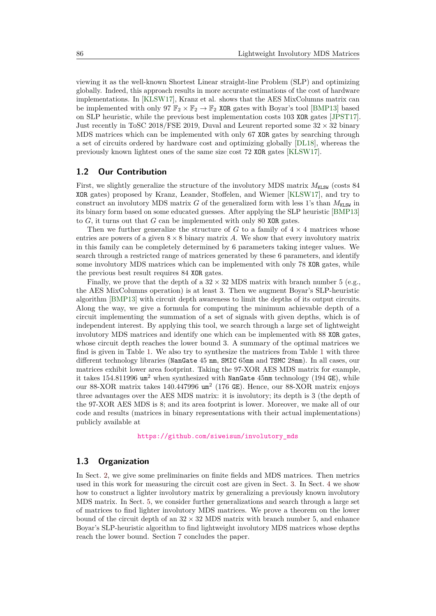viewing it as the well-known Shortest Linear straight-line Problem (SLP) and optimizing globally. Indeed, this approach results in more accurate estimations of the cost of hardware implementations. In [\[KLSW17\]](#page-17-14), Kranz et al. shows that the AES MixColumns matrix can be implemented with only 97  $\mathbb{F}_2 \times \mathbb{F}_2 \to \mathbb{F}_2$  XOR gates with Boyar's tool [\[BMP13\]](#page-16-8) based on SLP heuristic, while the previous best implementation costs 103 XOR gates [\[JPST17\]](#page-17-12). Just recently in ToSC 2018/FSE 2019, Duval and Leurent reported some  $32 \times 32$  binary MDS matrices which can be implemented with only 67 XOR gates by searching through a set of circuits ordered by hardware cost and optimizing globally [\[DL18\]](#page-16-9), whereas the previously known lightest ones of the same size cost 72 XOR gates [\[KLSW17\]](#page-17-14).

#### **1.2 Our Contribution**

First, we slightly generalize the structure of the involutory MDS matrix  $M_{\text{KLSW}}$  (costs 84 XOR gates) proposed by Kranz, Leander, Stoffelen, and Wiemer [\[KLSW17\]](#page-17-14), and try to construct an involutory MDS matrix *G* of the generalized form with less 1's than  $M_{\text{KLSW}}$  in its binary form based on some educated guesses. After applying the SLP heuristic [\[BMP13\]](#page-16-8) to *G*, it turns out that *G* can be implemented with only 80 XOR gates.

Then we further generalize the structure of  $G$  to a family of  $4 \times 4$  matrices whose entries are powers of a given  $8 \times 8$  binary matrix *A*. We show that every involutory matrix in this family can be completely determined by 6 parameters taking integer values. We search through a restricted range of matrices generated by these 6 parameters, and identify some involutory MDS matrices which can be implemented with only 78 XOR gates, while the previous best result requires 84 XOR gates.

Finally, we prove that the depth of a  $32 \times 32$  MDS matrix with branch number 5 (e.g., the AES MixColumns operation) is at least 3. Then we augment Boyar's SLP-heuristic algorithm [\[BMP13\]](#page-16-8) with circuit depth awareness to limit the depths of its output circuits. Along the way, we give a formula for computing the minimum achievable depth of a circuit implementing the summation of a set of signals with given depths, which is of independent interest. By applying this tool, we search through a large set of lightweight involutory MDS matrices and identify one which can be implemented with 88 XOR gates, whose circuit depth reaches the lower bound 3. A summary of the optimal matrices we find is given in Table [1.](#page-3-0) We also try to synthesize the matrices from Table [1](#page-3-0) with three different technology libraries (NanGate 45 nm, SMIC 65nm and TSMC 28nm). In all cases, our matrices exhibit lower area footprint. Taking the 97-XOR AES MDS matrix for example, it takes 154*.*811996 um<sup>2</sup> when synthesized with NanGate 45nm technology (194 GE), while our 88-XOR matrix takes 140*.*447996 um<sup>2</sup> (176 GE). Hence, our 88-XOR matrix enjoys three advantages over the AES MDS matrix: it is involutory; its depth is 3 (the depth of the 97-XOR AES MDS is 8; and its area footprint is lower. Moreover, we make all of our code and results (matrices in binary representations with their actual implementations) publicly available at

[https://github.com/siweisun/involutory\\_mds](https://github.com/siweisun/involutory_mds)

#### **1.3 Organization**

In Sect. [2,](#page-3-1) we give some preliminaries on finite fields and MDS matrices. Then metrics used in this work for measuring the circuit cost are given in Sect. [3.](#page-4-0) In Sect. [4](#page-4-1) we show how to construct a lighter involutory matrix by generalizing a previously known involutory MDS matrix. In Sect. [5,](#page-6-0) we consider further generalizations and search through a large set of matrices to find lighter involutory MDS matrices. We prove a theorem on the lower bound of the circuit depth of an  $32 \times 32$  MDS matrix with branch number 5, and enhance Boyar's SLP-heuristic algorithm to find lightweight involutory MDS matrices whose depths reach the lower bound. Section [7](#page-14-0) concludes the paper.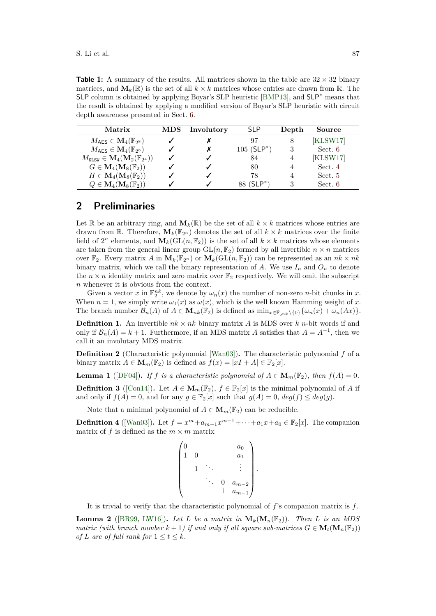<span id="page-3-0"></span>**Table 1:** A summary of the results. All matrices shown in the table are  $32 \times 32$  binary matrices, and  $\mathbf{M}_k(\mathbb{R})$  is the set of all  $k \times k$  matrices whose entries are drawn from  $\mathbb{R}$ . The SLP column is obtained by applying Boyar's SLP heuristic [\[BMP13\]](#page-16-8), and SLP<sup>∗</sup> means that the result is obtained by applying a modified version of Boyar's SLP heuristic with circuit depth awareness presented in Sect. [6.](#page-9-0)

| Matrix                                                             | <b>MDS</b> | Involutory | <b>SLP</b>                | Depth | Source   |
|--------------------------------------------------------------------|------------|------------|---------------------------|-------|----------|
| $M_{\text{AES}} \in \mathbf{M}_{4}(\mathbb{F}_{2^8})$              |            |            | 97                        | 8     | [KLSW17] |
| $M_{\text{AES}} \in \mathbf{M}_{4}(\mathbb{F}_{2^8})$              |            |            | $105$ (SLP <sup>*</sup> ) |       | Sect. 6  |
| $M_{\text{KLSW}} \in \mathbf{M}_4(\mathbf{M}_2(\mathbb{F}_{2^4}))$ |            |            | 84                        |       | KLSW17   |
| $G \in \mathbf{M}_4(\mathbf{M}_8(\mathbb{F}_2))$                   |            |            | 80                        |       | Sect. 4  |
| $H \in \mathbf{M}_4(\mathbf{M}_8(\mathbb{F}_2))$                   |            |            | 78                        |       | Sect. 5  |
| $Q \in \mathbf{M}_4(\mathbf{M}_8(\mathbb{F}_2))$                   |            |            | $88~(\mathsf{SLP}^*)$     |       | Sect. 6  |

### <span id="page-3-1"></span>**2 Preliminaries**

Let R be an arbitrary ring, and  $M_k(\mathbb{R})$  be the set of all  $k \times k$  matrices whose entries are drawn from R. Therefore,  $M_k(\mathbb{F}_{2^n})$  denotes the set of all  $k \times k$  matrices over the finite field of  $2^n$  elements, and  $M_k(\overline{GL}(n, \mathbb{F}_2))$  is the set of all  $k \times k$  matrices whose elements are taken from the general linear group  $GL(n, \mathbb{F}_2)$  formed by all invertible  $n \times n$  matrices over  $\mathbb{F}_2$ . Every matrix A in  $\mathbf{M}_k(\mathbb{F}_{2^n})$  or  $\mathbf{M}_k(\mathrm{GL}(n,\mathbb{F}_2))$  can be represented as an  $nk \times nk$ binary matrix, which we call the binary representation of A. We use  $I_n$  and  $O_n$  to denote the  $n \times n$  identity matrix and zero matrix over  $\mathbb{F}_2$  respectively. We will omit the subscript *n* whenever it is obvious from the context.

Given a vector *x* in  $\mathbb{F}_2^{nk}$ , we denote by  $\omega_n(x)$  the number of non-zero *n*-bit chunks in *x*. When  $n = 1$ , we simply write  $\omega_1(x)$  as  $\omega(x)$ , which is the well known Hamming weight of *x*. The branch number  $\mathcal{B}_n(A)$  of  $A \in \mathbf{M}_{nk}(\mathbb{F}_2)$  is defined as  $\min_{x \in \mathbb{F}_{2^{nk}} \setminus \{0\}} {\{\omega_n(x) + \omega_n(Ax)\}}$ .

**Definition 1.** An invertible  $nk \times nk$  binary matrix *A* is MDS over *k n*-bit words if and only if  $\mathcal{B}_n(A) = k + 1$ . Furthermore, if an MDS matrix *A* satisfies that  $A = A^{-1}$ , then we call it an involutary MDS matrix.

**Definition 2** (Characteristic polynomial [\[Wan03\]](#page-18-3))**.** The characteristic polynomial *f* of a binary matrix  $A \in M_m(\mathbb{F}_2)$  is defined as  $f(x) = |xI + A| \in \mathbb{F}_2[x]$ .

<span id="page-3-3"></span>**Lemma 1** ([\[DF04\]](#page-16-10)). If *f* is a characteristic polynomial of  $A \in M_m(\mathbb{F}_2)$ , then  $f(A) = 0$ .

<span id="page-3-4"></span>**Definition 3** ([\[Con14\]](#page-16-11)). Let  $A \in M_m(\mathbb{F}_2)$ ,  $f \in \mathbb{F}_2[x]$  is the minimal polynomial of *A* if and only if  $f(A) = 0$ , and for any  $g \in \mathbb{F}_2[x]$  such that  $g(A) = 0$ ,  $deg(f) \leq deg(g)$ .

Note that a minimal polynomial of  $A \in M_m(\mathbb{F}_2)$  can be reducible.

**Definition 4** ([\[Wan03\]](#page-18-3)). Let  $f = x^m + a_{m-1}x^{m-1} + \cdots + a_1x + a_0 \in \mathbb{F}_2[x]$ . The companion matrix of  $f$  is defined as the  $m \times m$  matrix

$$
\begin{pmatrix} 0 & & & & a_0 \\ 1 & 0 & & & a_1 \\ & 1 & \ddots & & \vdots \\ & & \ddots & 0 & a_{m-2} \\ & & & 1 & a_{m-1} \end{pmatrix}.
$$

It is trivial to verify that the characteristic polynomial of *f*'s companion matrix is *f*.

<span id="page-3-2"></span>**Lemma 2** ([\[BR99,](#page-16-12) [LW16\]](#page-17-7)). Let L be a matrix in  $M_k(M_n(\mathbb{F}_2))$ . Then L is an MDS *matrix (with branch number*  $k + 1$ ) *if and only if all square sub-matrices*  $G \in M_t(M_n(\mathbb{F}_2))$ *of L* are *of full rank for*  $1 \le t \le k$ *.*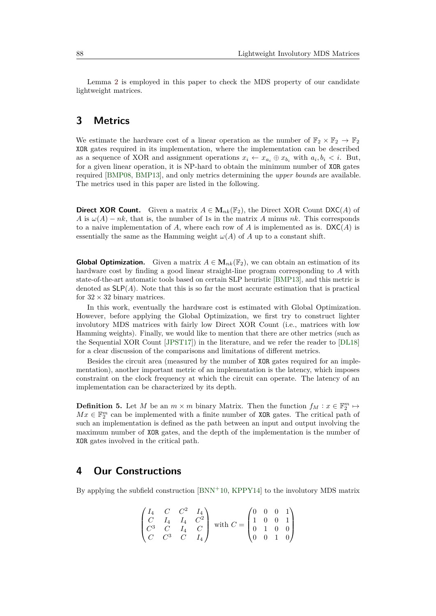Lemma [2](#page-3-2) is employed in this paper to check the MDS property of our candidate lightweight matrices.

## <span id="page-4-0"></span>**3 Metrics**

We estimate the hardware cost of a linear operation as the number of  $\mathbb{F}_2 \times \mathbb{F}_2 \to \mathbb{F}_2$ XOR gates required in its implementation, where the implementation can be described as a sequence of XOR and assignment operations  $x_i \leftarrow x_{a_i} \oplus x_{b_i}$  with  $a_i, b_i \leq i$ . But, for a given linear operation, it is NP-hard to obtain the minimum number of XOR gates required [\[BMP08,](#page-16-13) [BMP13\]](#page-16-8), and only metrics determining the *upper bounds* are available. The metrics used in this paper are listed in the following.

**Direct XOR Count.** Given a matrix  $A \in M_{nk}(\mathbb{F}_2)$ , the Direct XOR Count DXC(*A*) of *A* is  $\omega(A) - nk$ , that is, the number of 1s in the matrix *A* minus *nk*. This corresponds to a naive implementation of A, where each row of A is implemented as is.  $DXC(A)$  is essentially the same as the Hamming weight  $\omega(A)$  of *A* up to a constant shift.

**Global Optimization.** Given a matrix  $A \in M_{nk}(\mathbb{F}_2)$ , we can obtain an estimation of its hardware cost by finding a good linear straight-line program corresponding to *A* with state-of-the-art automatic tools based on certain SLP heuristic [\[BMP13\]](#page-16-8), and this metric is denoted as  $SLP(A)$ . Note that this is so far the most accurate estimation that is practical for  $32 \times 32$  binary matrices.

In this work, eventually the hardware cost is estimated with Global Optimization. However, before applying the Global Optimization, we first try to construct lighter involutory MDS matrices with fairly low Direct XOR Count (i.e., matrices with low Hamming weights). Finally, we would like to mention that there are other metrics (such as the Sequential XOR Count [\[JPST17\]](#page-17-12)) in the literature, and we refer the reader to [\[DL18\]](#page-16-9) for a clear discussion of the comparisons and limitations of different metrics.

Besides the circuit area (measured by the number of XOR gates required for an implementation), another important metric of an implementation is the latency, which imposes constraint on the clock frequency at which the circuit can operate. The latency of an implementation can be characterized by its depth.

**Definition 5.** Let *M* be an  $m \times m$  binary Matrix. Then the function  $f_M : x \in \mathbb{F}_2^m \mapsto$  $Mx \in \mathbb{F}_2^m$  can be implemented with a finite number of XOR gates. The critical path of such an implementation is defined as the path between an input and output involving the maximum number of XOR gates, and the depth of the implementation is the number of XOR gates involved in the critical path.

#### <span id="page-4-1"></span>**4 Our Constructions**

By applying the subfield construction [\[BNN](#page-16-14)<sup>+</sup>10, [KPPY14\]](#page-17-15) to the involutory MDS matrix

$$
\begin{pmatrix} I_4 & C & C^2 & I_4 \\ C & I_4 & I_4 & C^2 \\ C^3 & C & I_4 & C \\ C & C^3 & C & I_4 \end{pmatrix} \text{ with } C = \begin{pmatrix} 0 & 0 & 0 & 1 \\ 1 & 0 & 0 & 1 \\ 0 & 1 & 0 & 0 \\ 0 & 0 & 1 & 0 \end{pmatrix}
$$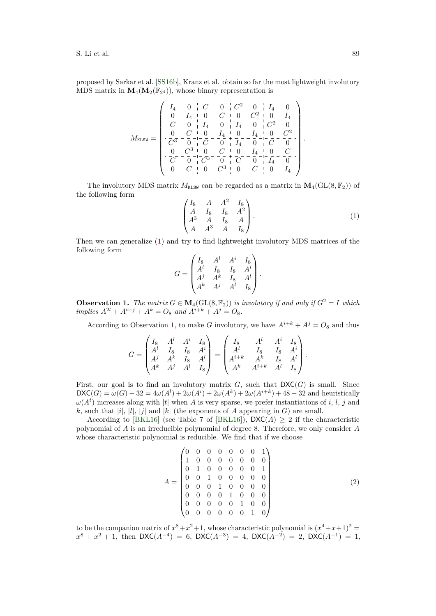proposed by Sarkar et al. [\[SS16b\]](#page-17-10), Kranz et al. obtain so far the most lightweight involutory MDS matrix in  $\mathbf{M}_{4}(\mathbf{M}_{2}(\mathbb{F}_{2^4}))$ , whose binary representation is

$$
M_{\text{KLSW}} = \begin{pmatrix} I_4 & 0 & C & 0 & C^2 & 0 & I_4 & 0 \\ 0 & I_4 & 0 & C & 0 & C^2 & 0 & I_4 \\ -\frac{0}{C'}-\frac{I_4}{0} & -\frac{1}{I_4} & 0 & -\frac{1}{I_4} & -\frac{0}{0} & -\frac{1}{C^2} - \frac{1}{0} \\ -\frac{0}{C'^3} - \frac{C}{0} & -\frac{0}{C} & -\frac{I_4}{0} & +\frac{0}{I_4} & -\frac{I_4}{0} & -\frac{0}{C} & -\frac{C^2}{0} \\ -\frac{0}{C'} & -\frac{0}{0} & -\frac{C}{C^3} & -\frac{0}{0} & +\frac{1}{I_4} & -\frac{0}{0} & -\frac{1}{C} & -\frac{0}{0} \\ -\frac{0}{C'} & -\frac{0}{0} & -\frac{C^3}{C^3} & -\frac{0}{0} & +\frac{C^2}{C'} & -\frac{1}{0} & -\frac{1}{I_4} & -\frac{0}{0} \\ 0 & C & 0 & C^3 & 0 & C & 0 & I_4 \end{pmatrix}.
$$

The involutory MDS matrix  $M_{\text{KLSW}}$  can be regarded as a matrix in  $\mathbf{M}_4(\text{GL}(8, \mathbb{F}_2))$  of the following form

<span id="page-5-0"></span>
$$
\begin{pmatrix}\nI_8 & A & A^2 & I_8 \\
A & I_8 & I_8 & A^2 \\
A^3 & A & I_8 & A \\
A & A^3 & A & I_8\n\end{pmatrix}.
$$
\n(1)

Then we can generalize [\(1\)](#page-5-0) and try to find lightweight involutory MDS matrices of the following form

$$
G = \begin{pmatrix} I_8 & A^l & A^i & I_8 \\ A^l & I_8 & I_8 & A^i \\ A^j & A^k & I_8 & A^l \\ A^k & A^j & A^l & I_8 \end{pmatrix}.
$$

<span id="page-5-1"></span>**Observation 1.** *The matrix*  $G \in M_4(GL(8, \mathbb{F}_2))$  *is involutory if and only if*  $G^2 = I$  *which implies*  $A^{2l} + A^{i+j} + A^k = O_8$  *and*  $A^{i+k} + A^j = O_8$ .

According to Observation [1,](#page-5-1) to make *G* involutory, we have  $A^{i+k} + A^j = O_8$  and thus

$$
G = \begin{pmatrix} I_8 & A^l & A^i & I_8 \\ A^l & I_8 & I_8 & A^i \\ A^j & A^k & I_8 & A^l \\ A^k & A^j & A^l & I_8 \end{pmatrix} = \begin{pmatrix} I_8 & A^l & A^i & I_8 \\ A^l & I_8 & I_8 & A^i \\ A^{i+k} & A^k & I_8 & A^l \\ A^k & A^{i+k} & A^l & I_8 \end{pmatrix}.
$$

First, our goal is to find an involutory matrix  $G$ , such that  $DXC(G)$  is small. Since  $\mathsf{DXC}(G) = \omega(G) - 32 = 4\omega(A^l) + 2\omega(A^i) + 2\omega(A^k) + 2\omega(A^{i+k}) + 48 - 32$  and heuristically  $\omega(A^t)$  increases along with |*t*| when *A* is very sparse, we prefer instantiations of *i*, *l*, *j* and *k*, such that  $|i|, |l|, |j|$  and  $|k|$  (the exponents of *A* appearing in *G*) are small.

According to [\[BKL16\]](#page-16-7) (see Table 7 of [BKL16]),  $\mathsf{DXC}(A) \geq 2$  if the characteristic polynomial of *A* is an irreducible polynomial of degree 8. Therefore, we only consider *A* whose characteristic polynomial is reducible. We find that if we choose

<span id="page-5-2"></span>
$$
A = \begin{pmatrix} 0 & 0 & 0 & 0 & 0 & 0 & 0 & 1 \\ 1 & 0 & 0 & 0 & 0 & 0 & 0 & 0 \\ 0 & 1 & 0 & 0 & 0 & 0 & 0 & 1 \\ 0 & 0 & 1 & 0 & 0 & 0 & 0 & 0 \\ 0 & 0 & 0 & 1 & 0 & 0 & 0 & 0 \\ 0 & 0 & 0 & 0 & 1 & 0 & 0 & 0 \\ 0 & 0 & 0 & 0 & 0 & 1 & 0 & 0 \\ 0 & 0 & 0 & 0 & 0 & 0 & 1 & 0 \end{pmatrix}
$$
(2)

to be the companion matrix of  $x^8 + x^2 + 1$ , whose characteristic polynomial is  $(x^4 + x + 1)^2 =$  $x^8 + x^2 + 1$ , then DXC(*A*<sup>-4</sup>) = 6, DXC(*A*<sup>-3</sup>) = 4, DXC(*A*<sup>-2</sup>) = 2, DXC(*A*<sup>-1</sup>) = 1,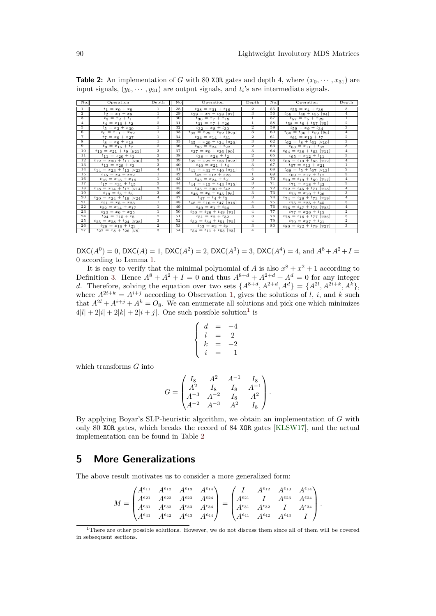| No.                       | Operation                                     | Depth                   | Nol             | Operation                                     | Depth                   | No. | Operation                                     | Depth                                |
|---------------------------|-----------------------------------------------|-------------------------|-----------------|-----------------------------------------------|-------------------------|-----|-----------------------------------------------|--------------------------------------|
| $\mathbf{1}$              | $t_1 = x_0 + x_9$                             | $\mathbf{1}$            | 28              | $t_{28} = x_{31} + t_{16}$                    | $\overline{2}$          | 55  | $t_{55} = x_4 + t_{38}$                       | 3                                    |
| $\overline{2}$            | $t_2 = x_1 + x_8$                             | $\overline{1}$          | 29              | $t_{29} = x_7 + t_{28}$ [y <sub>7</sub> ]     | $\overline{\mathbf{3}}$ | 56  | $t_{56} = t_{40} + t_{55}$ [y <sub>4</sub> ]  | $\overline{4}$                       |
| $\overline{\overline{3}}$ | $t_3 = x_2 + t_1$                             | $\overline{2}$          | 30              | $t_{30} = x_7 + x_{19}$                       | $\overline{1}$          | 57  | $t_{57} = x_5 + x_{29}$                       | $\overline{1}$                       |
| $\overline{4}$            | $t_4 = x_{10} + t_2$                          | $\overline{2}$          | 31              | $t_{31} = x_7 + x_{26}$                       | $\overline{1}$          | 58  | $t_{58} = t_6 + t_{57}$ [y <sub>5</sub> ]     | $\overline{2}$                       |
| $\overline{5}$            | $t_5 = x_3 + x_{30}$                          | $\overline{1}$          | $\overline{32}$ | $t_{32} = x_8 + t_{30}$                       | $\overline{2}$          | 59  | $t_{59} = x_9 + t_{34}$                       | $\overline{\overline{3}}$            |
| $6\overline{6}$           | $t_6 = x_1_1 + x_2_2$                         | $\overline{1}$          | 33              | $t_{33} = x_{29} + t_{32}$ [y <sub>29</sub> ] |                         | 60  | $t_{60} = t_{36} + t_{59}$ [yg]               | $\overline{4}$                       |
| $\overline{\tau}$         | $t_7 = x_0 + x_{27}$                          | $\overline{1}$          | 34              | $t_{34} = x_{14} + t_{31}$                    | $\overline{2}$          | 61  | $t_{61} = x_{10} + t_7$                       | $\overline{2}$                       |
| $\overline{\mathbf{8}}$   | $t_8 = x_6 + x_{18}$                          | $\overline{1}$          | 35              | $t_{35} = x_{20} + t_{34}$ [y <sub>20</sub> ] |                         | 62  | $t_{62} = t_8 + t_{61}$ [y <sub>10</sub> ]    | $\overline{\overline{\overline{3}}}$ |
| 9                         | $t_9 = x_{15} + t_7$                          | $\overline{2}$          | 36              | $t_{36} = x_{24} + t_{22}$                    | $\overline{2}$          | 63  | $t_{63} = x_{11} + t_{32}$                    | $\overline{\mathbf{3}}$              |
| 10                        | $t_{10} = x_{21} + t_9 \ [y_{21}]$            | 3                       | 37              | $t_{37} = x_0 + t_{36} [y_0]$                 | 3                       | 64  | $t_{64} = t_{38} + t_{63}$ [y11]              | $\overline{4}$                       |
| 11                        | $t_{11} = x_{20} + t_1$                       | $\overline{2}$          | 38              | $t_{38} = x_{28} + t_2$                       | $\overline{2}$          | 65  | $t_{65} = x_{12} + t_{11}$                    | 3                                    |
| 12                        | $t_{12} = x_{30} + t_{11}$ [y <sub>30</sub> ] | $\overline{\mathbf{3}}$ | 39              | $t_{39} = x_{22} + t_{38} [y_{22}]$           | $\overline{\mathbf{3}}$ | 66  | $t_{66} = t_{13} + t_{65}$ [y <sub>12</sub> ] | $\overline{4}$                       |
| 13                        | $t_{13} = x_{29} + t_3$                       | 3                       | 40              | $t_{40} = x_{21} + t_4$                       | 3                       | 67  | $t_{67} = x_{13} + x_{21}$                    | $\mathbf{1}$                         |
| 14                        | $t_{14} = x_{23} + t_{13}$ [y <sub>23</sub> ] | $\overline{4}$          | 41              | $t_{41} = x_{31} + t_{40}$ [y <sub>31</sub> ] | $\overline{4}$          | 68  | $t_{68} = t_5 + t_{67}$ [y <sub>13</sub> ]    | $\overline{2}$                       |
| 15                        | $t_{15} = x_4 + x_{22}$                       | $\overline{1}$          | 42              | $t_{42} = x_{12} + x_{23}$                    | $\overline{1}$          | 69  | $t_{69} = x_{17} + t_{17}$                    | $\overline{\mathbf{3}}$              |
| 16                        | $t_{16} = x_{13} + x_{16}$                    | $\mathbf{1}$            | 43              | $t_{43} = x_{24} + t_{21}$                    | $\overline{2}$          | 70  | $t_{70} = t_{19} + t_{69}$ [y <sub>17</sub> ] | $\overline{4}$                       |
| 17                        | $t_{17} = x_{31} + t_{15}$                    | $\overline{2}$          | 44              | $t_{44} = x_{15} + t_{43}$ [y <sub>15</sub> ] | $\overline{\mathbf{3}}$ | 71  | $t_{71} = x_{18} + t_{43}$                    | $\overline{\mathbf{3}}$              |
| 18                        | $t_{18} = x_{14} + t_{17}$ [y <sub>14</sub> ] | 3                       | 45              | $t_{45} = x_{30} + t_{42}$                    | $\overline{2}$          | 72  | $t_{72} = t_{45} + t_{71}$ [y <sub>18</sub> ] | $\overline{4}$                       |
| 19                        | $t_{19} = t_3 + t_6$                          | $\overline{\mathbf{3}}$ | 46              | $t_{46} = x_6 + t_{45}$ [y <sub>6</sub> ]     | $\overline{\mathbf{3}}$ | 73  | $t_{73} = x_{19} + t_{26}$                    | $\overline{\mathbf{3}}$              |
| 20                        | $t_{20} = x_{24} + t_{19}$ [y <sub>24</sub> ] | $\overline{4}$          | 47              | $t_{47} = t_4 + t_5$                          | $\overline{\mathbf{3}}$ | 74  | $t_{74} = t_{28} + t_{73}$ [y <sub>19</sub> ] | $\overline{4}$                       |
| 21                        | $t_{21} = x_5 + x_{23}$                       | $\mathbf{1}$            | 48              | $t_{48} = x_{16} + t_{47}$ [y <sub>16</sub> ] | $\overline{4}$          | 75  | $t_{75} = x_{25} + t_{45}$                    | 3                                    |
| 22                        | $t_{22} = x_{14} + x_{17}$                    | $\mathbf{1}$            | 49              | $t_{49} = x_1 + t_{24}$                       | $\overline{\mathbf{3}}$ | 76  | $t_{76} = t_{47} + t_{75}$ [y25]              | $\overline{4}$                       |
| 23                        | $t_{23} = x_6 + x_{25}$                       | $\overline{1}$          | 50              | $t_{50} = t_{26} + t_{49}$ [y <sub>1</sub> ]  | $\overline{4}$          | 77  | $t_{77} = x_{26} + t_{15}$                    | $\overline{2}$                       |
| 24                        | $t_{24} = x_{15} + t_8$                       | $\overline{2}$          | 51              | $t_{51} = x_2 + t_{32}$                       | $\overline{\mathbf{3}}$ | 78  | $t_{78} = t_{16} + t_{77}$ [y <sub>26</sub> ] | $\overline{\mathbf{3}}$              |
| 25                        | $t_{25} = x_{28} + t_{24}$ [y <sub>28</sub> ] | $\overline{\mathbf{3}}$ | 52              | $t_{52} = t_{34} + t_{51}$ [y <sub>2</sub> ]  | $\overline{4}$          | 79  | $t_{79} = x_{27} + t_{21}$                    | $\overline{2}$                       |
| 26                        | $t_{26} = x_{16} + t_{23}$                    | $\overline{2}$          | 53              | $t_{53} = x_3 + t_9$                          | $\overline{\mathbf{3}}$ | 80  | $t_{80} = t_{22} + t_{79}$ [y <sub>27</sub> ] | $\overline{3}$                       |
| 27                        | $t_{27} = x_8 + t_{26} [y_8]$                 | $\overline{\mathbf{3}}$ | 54              | $t_{54} = t_{11} + t_{53}$ [y <sub>3</sub> ]  | $\overline{4}$          |     |                                               |                                      |

<span id="page-6-2"></span>**Table 2:** An implementation of *G* with 80 XOR gates and depth 4, where  $(x_0, \dots, x_{31})$  are input signals,  $(y_0, \dots, y_{31})$  are output signals, and  $t_i$ 's are intermediate signals.

 $\mathsf{DXC}(A^0) = 0$ ,  $\mathsf{DXC}(A) = 1$ ,  $\mathsf{DXC}(A^2) = 2$ ,  $\mathsf{DXC}(A^3) = 3$ ,  $\mathsf{DXC}(A^4) = 4$ , and  $A^8 + A^2 + I =$ 0 according to Lemma [1.](#page-3-3)

It is easy to verify that the minimal polynomial of *A* is also  $x^8 + x^2 + 1$  according to Definition [3.](#page-3-4) Hence  $A^8 + A^2 + I = 0$  and thus  $A^{8+d} + A^{2+d} + A^d = 0$  for any integer *d*. Therefore, solving the equation over two sets  $\{A^{8+d}, A^{2+d}, A^{d}\} = \{A^{2l}, A^{2i+k}, A^{k}\},\$ where  $A^{2i+k} = A^{i+j}$  according to Observation [1,](#page-5-1) gives the solutions of *l*, *i*, and *k* such that  $A^{2l} + A^{i+j} + A^k = O_8$ . We can enumerate all solutions and pick one which minimizes  $4|l| + 2|i| + 2|k| + 2|i + j|$ . One such possible solution<sup>[1](#page-6-1)</sup> is

$$
\begin{cases}\n d &= -4 \\
 l &= 2 \\
 k &= -2 \\
 i &= -1\n\end{cases}
$$

which transforms *G* into

$$
G = \begin{pmatrix} I_8 & A^2 & A^{-1} & I_8 \\ A^2 & I_8 & I_8 & A^{-1} \\ A^{-3} & A^{-2} & I_8 & A^2 \\ A^{-2} & A^{-3} & A^2 & I_8 \end{pmatrix}.
$$

By applying Boyar's SLP-heuristic algorithm, we obtain an implementation of *G* with only 80 XOR gates, which breaks the record of 84 XOR gates [\[KLSW17\]](#page-17-14), and the actual implementation can be found in Table [2](#page-6-2)

#### <span id="page-6-0"></span>**5 More Generalizations**

The above result motivates us to consider a more generalized form:

$$
M = \begin{pmatrix} A^{\epsilon_{11}} & A^{\epsilon_{12}} & A^{\epsilon_{13}} & A^{\epsilon_{14}} \\ A^{\epsilon_{21}} & A^{\epsilon_{22}} & A^{\epsilon_{23}} & A^{\epsilon_{24}} \\ A^{\epsilon_{31}} & A^{\epsilon_{32}} & A^{\epsilon_{33}} & A^{\epsilon_{34}} \\ A^{\epsilon_{41}} & A^{\epsilon_{42}} & A^{\epsilon_{43}} & A^{\epsilon_{44}} \end{pmatrix} = \begin{pmatrix} I & A^{\epsilon_{12}} & A^{\epsilon_{13}} & A^{\epsilon_{14}} \\ A^{\epsilon_{21}} & I & A^{\epsilon_{23}} & A^{\epsilon_{24}} \\ A^{\epsilon_{31}} & A^{\epsilon_{32}} & I & A^{\epsilon_{34}} \\ A^{\epsilon_{41}} & A^{\epsilon_{42}} & A^{\epsilon_{43}} & I \end{pmatrix}.
$$

<span id="page-6-1"></span><sup>&</sup>lt;sup>1</sup>There are other possible solutions. However, we do not discuss them since all of them will be covered in sebsequent sections.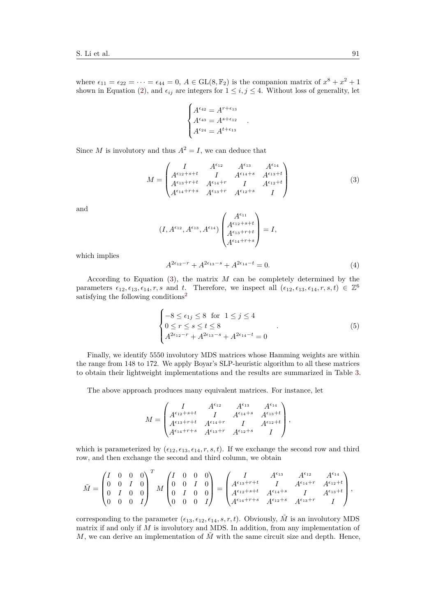where  $\epsilon_{11} = \epsilon_{22} = \cdots = \epsilon_{44} = 0$ ,  $A \in GL(8, \mathbb{F}_2)$  is the companion matrix of  $x^8 + x^2 + 1$ shown in Equation [\(2\)](#page-5-2), and  $\epsilon_{ij}$  are integers for  $1 \leq i, j \leq 4$ . Without loss of generality, let

$$
\begin{cases}\nA^{\epsilon_{42}} = A^{r+\epsilon_{13}} \\
A^{\epsilon_{43}} = A^{s+\epsilon_{12}} \\
A^{\epsilon_{24}} = A^{t+\epsilon_{13}}\n\end{cases}.
$$

Since *M* is involutory and thus  $A^2 = I$ , we can deduce that

<span id="page-7-0"></span>
$$
M = \begin{pmatrix} I & A^{\epsilon_{12}} & A^{\epsilon_{13}} & A^{\epsilon_{14}} \\ A^{\epsilon_{12} + s + t} & I & A^{\epsilon_{14} + s} & A^{\epsilon_{13} + t} \\ A^{\epsilon_{13} + r + t} & A^{\epsilon_{14} + r} & I & A^{\epsilon_{12} + t} \\ A^{\epsilon_{14} + r + s} & A^{\epsilon_{13} + r} & A^{\epsilon_{12} + s} & I \end{pmatrix}
$$
(3)

and

$$
(I, A^{\epsilon_{12}}, A^{\epsilon_{13}}, A^{\epsilon_{14}}) \begin{pmatrix} A^{\epsilon_{11}} \\ A^{\epsilon_{12}+s+t} \\ A^{\epsilon_{13}+r+t} \\ A^{\epsilon_{14}+r+s} \end{pmatrix} = I,
$$

which implies

$$
A^{2\epsilon_{12}-r} + A^{2\epsilon_{13}-s} + A^{2\epsilon_{14}-t} = 0.
$$
 (4)

According to Equation [\(3\)](#page-7-0), the matrix *M* can be completely determined by the parameters  $\epsilon_{12}, \epsilon_{13}, \epsilon_{14}, r, s$  and *t*. Therefore, we inspect all  $(\epsilon_{12}, \epsilon_{13}, \epsilon_{14}, r, s, t) \in \mathbb{Z}^6$ satisfying the following conditions<sup>[2](#page-8-0)</sup>

$$
\begin{cases}\n-8 \le \epsilon_{1j} \le 8 \quad \text{for} \quad 1 \le j \le 4 \\
0 \le r \le s \le t \le 8 \\
A^{2\epsilon_{12}-r} + A^{2\epsilon_{13}-s} + A^{2\epsilon_{14}-t} = 0\n\end{cases} (5)
$$

Finally, we identify 5550 involutory MDS matrices whose Hamming weights are within the range from 148 to 172. We apply Boyar's SLP-heuristic algorithm to all these matrices to obtain their lightweight implementations and the results are summarized in Table [3.](#page-8-1)

The above approach produces many equivalent matrices. For instance, let

$$
M = \begin{pmatrix} I & A^{\epsilon_{12}} & A^{\epsilon_{13}} & A^{\epsilon_{14}} \\ A^{\epsilon_{12}+s+t} & I & A^{\epsilon_{14}+s} & A^{\epsilon_{13}+t} \\ A^{\epsilon_{13}+r+t} & A^{\epsilon_{14}+r} & I & A^{\epsilon_{12}+t} \\ A^{\epsilon_{14}+r+s} & A^{\epsilon_{13}+r} & A^{\epsilon_{12}+s} & I \end{pmatrix},
$$

which is parameterized by  $(\epsilon_{12}, \epsilon_{13}, \epsilon_{14}, r, s, t)$ . If we exchange the second row and third row, and then exchange the second and third column, we obtain

 $\overline{a}$ 

$$
\tilde{M} = \begin{pmatrix} I & 0 & 0 & 0 \\ 0 & 0 & I & 0 \\ 0 & I & 0 & 0 \\ 0 & 0 & 0 & I \end{pmatrix}^T M \begin{pmatrix} I & 0 & 0 & 0 \\ 0 & 0 & I & 0 \\ 0 & I & 0 & 0 \\ 0 & 0 & 0 & I \end{pmatrix} = \begin{pmatrix} I & A^{\epsilon_{13}} & A^{\epsilon_{12}} & A^{\epsilon_{14}} \\ A^{\epsilon_{13} + r + t} & I & A^{\epsilon_{14} + r} & A^{\epsilon_{12} + t} \\ A^{\epsilon_{12} + s + t} & A^{\epsilon_{14} + s} & I & A^{\epsilon_{13} + t} \\ A^{\epsilon_{14} + r + s} & A^{\epsilon_{12} + s} & A^{\epsilon_{13} + r} & I \end{pmatrix},
$$

corresponding to the parameter  $(\epsilon_{13}, \epsilon_{12}, \epsilon_{14}, s, r, t)$ . Obviously,  $\tilde{M}$  is an involutory MDS matrix if and only if *M* is involutory and MDS. In addition, from any implementation of *M*, we can derive an implementation of  $\tilde{M}$  with the same circuit size and depth. Hence,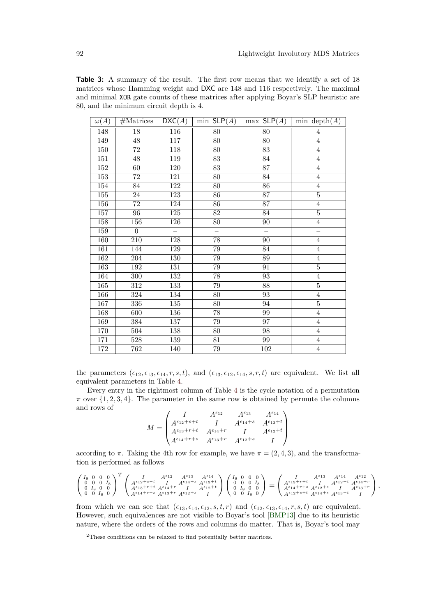<span id="page-8-1"></span>**Table 3:** A summary of the result. The first row means that we identify a set of 18 matrices whose Hamming weight and DXC are 148 and 116 respectively. The maximal and minimal XOR gate counts of these matrices after applying Boyar's SLP heuristic are 80, and the minimum circuit depth is 4.

| $\omega(A)$ | #Matrices        | DXC(A)                   | $\min$ SLP $(A)$         | $max$ SLP $(A)$          | min depth $(A)$   |
|-------------|------------------|--------------------------|--------------------------|--------------------------|-------------------|
| 148         | 18               | 116                      | $80\,$                   | $80\,$                   | 4                 |
| 149         | 48               | 117                      | $80\,$                   | $80\,$                   | $\overline{4}$    |
| 150         | 72               | 118                      | 80                       | 83                       | $\overline{4}$    |
| 151         | 48               | 119                      | $\overline{83}$          | 84                       | $\overline{4}$    |
| 152         | $\overline{60}$  | 120                      | 83                       | $\overline{87}$          | $\overline{4}$    |
| 153         | $\overline{72}$  | 121                      | 80                       | 84                       | $\overline{4}$    |
| 154         | 84               | 122                      | 80                       | $\overline{86}$          | $\overline{4}$    |
| 155         | 24               | 123                      | 86                       | $\overline{87}$          | $\overline{5}$    |
| 156         | $\overline{72}$  | 124                      | 86                       | $\overline{87}$          | $\overline{4}$    |
| 157         | $\overline{96}$  | 125                      | $\overline{82}$          | $\overline{84}$          | $\overline{5}$    |
| 158         | 156              | 126                      | $80\,$                   | $90\,$                   | $\overline{4}$    |
| 159         | $\Omega$         | $\overline{\phantom{0}}$ | $\overline{\phantom{0}}$ | $\overline{\phantom{0}}$ | $\qquad \qquad -$ |
| 160         | $\overline{210}$ | $\overline{128}$         | $\overline{78}$          | $90\,$                   | $\overline{4}$    |
| 161         | 144              | 129                      | 79                       | $\overline{84}$          | $\overline{4}$    |
| 162         | $\overline{204}$ | 130                      | 79                       | $\overline{89}$          | $\overline{4}$    |
| 163         | 192              | $131\,$                  | $79\,$                   | 91                       | $\overline{5}$    |
| 164         | 300              | $132\,$                  | $78\,$                   | 93                       | $\overline{4}$    |
| 165         | 312              | 133                      | $79\,$                   | $\overline{88}$          | $\overline{5}$    |
| 166         | 324              | 134                      | $80\,$                   | $\overline{93}$          | $\overline{4}$    |
| 167         | 336              | $135\,$                  | $80\,$                   | 94                       | $\overline{5}$    |
| 168         | 600              | 136                      | 78                       | 99                       | $\overline{4}$    |
| 169         | 384              | $\overline{137}$         | 79                       | $\overline{97}$          | $\overline{4}$    |
| 170         | 504              | 138                      | 80                       | 98                       | $\overline{4}$    |
| 171         | $\overline{528}$ | 139                      | 81                       | 99                       | $\sqrt{4}$        |
| 172         | 762              | 140                      | $79\,$                   | 102                      | $\overline{4}$    |

the parameters  $(\epsilon_{12}, \epsilon_{13}, \epsilon_{14}, r, s, t)$ , and  $(\epsilon_{13}, \epsilon_{12}, \epsilon_{14}, s, r, t)$  are equivalent. We list all equivalent parameters in Table [4.](#page-9-1)

Every entry in the rightmost column of Table [4](#page-9-1) is the cycle notation of a permutation  $\pi$  over  $\{1, 2, 3, 4\}$ . The parameter in the same row is obtained by permute the columns and rows of

$$
M = \begin{pmatrix} I & A^{\epsilon_{12}} & A^{\epsilon_{13}} & A^{\epsilon_{14}} \\ A^{\epsilon_{12}+s+t} & I & A^{\epsilon_{14}+s} & A^{\epsilon_{13}+t} \\ A^{\epsilon_{13}+r+t} & A^{\epsilon_{14}+r} & I & A^{\epsilon_{12}+t} \\ A^{\epsilon_{14}+r+s} & A^{\epsilon_{13}+r} & A^{\epsilon_{12}+s} & I \end{pmatrix}
$$

according to  $\pi$ . Taking the 4th row for example, we have  $\pi = (2, 4, 3)$ , and the transformation is performed as follows

$$
\left(\begin{smallmatrix}I_8 & 0 & 0 & 0 \\ 0 & 0 & 0 & I_8 \\ 0 & I_8 & 0 & 0 \\ 0 & 0 & I_8 & 0\end{smallmatrix}\right)^T\left(\begin{smallmatrix}I & A^{\epsilon_{12}} & A^{\epsilon_{13}} & A^{\epsilon_{14}} \\ A^{\epsilon_{12}+s+t} & I & A^{\epsilon_{14}+s} & A^{\epsilon_{13}+t} \\ A^{\epsilon_{14}+r+t} & A^{\epsilon_{14}+r} & I & A^{\epsilon_{12}+t} \\ A^{\epsilon_{14}+r+s} & A^{\epsilon_{12}+s} & I\end{smallmatrix}\right)\left(\begin{smallmatrix}I_8 & 0 & 0 & 0 \\ 0 & 0 & 0 & I_8 \\ 0 & I_8 & 0 & 0 \\ 0 & I_8 & 0 & 0 \\ 0 & 0 & I_8 & 0\end{smallmatrix}\right) = \left(\begin{smallmatrix}I & A^{\epsilon_{13}} & A^{\epsilon_{14}} & A^{\epsilon_{12}} \\ A^{\epsilon_{13}+r+t} & I & A^{\epsilon_{12}+t} & A^{\epsilon_{14}+r} \\ A^{\epsilon_{14}+r+s} & A^{\epsilon_{12}+s} & I & A^{\epsilon_{13}+r} \\ A^{\epsilon_{12}+s+t} & A^{\epsilon_{14}+s} & A^{\epsilon_{13}+t} & I\end{smallmatrix}\right),
$$

from which we can see that  $(\epsilon_{13}, \epsilon_{14}, \epsilon_{12}, s, t, r)$  and  $(\epsilon_{12}, \epsilon_{13}, \epsilon_{14}, r, s, t)$  are equivalent. However, such equivalences are not visible to Boyar's tool [\[BMP13\]](#page-16-8) due to its heuristic nature, where the orders of the rows and columns do matter. That is, Boyar's tool may

<span id="page-8-0"></span> $\rm{^2The}$  conditions can be relaxed to find potentially better matrices.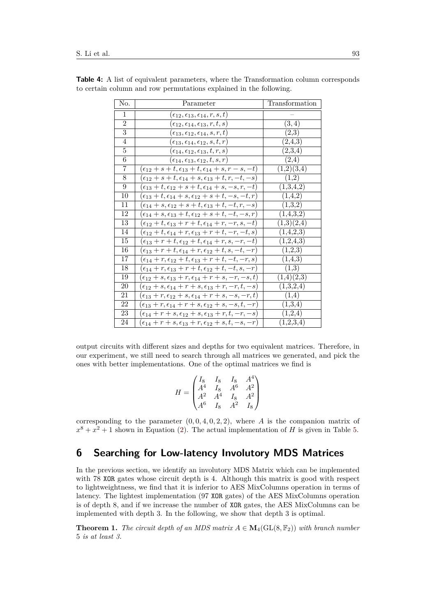| No.            | Parameter                                                                  | Transformation         |
|----------------|----------------------------------------------------------------------------|------------------------|
| $\mathbf{1}$   | $(\epsilon_{12},\epsilon_{13},\epsilon_{14},r,s,t)$                        |                        |
| $\mathbf{2}$   | $(\epsilon_{12},\epsilon_{14},\epsilon_{13},r,t,s)$                        | (3,4)                  |
| $\overline{3}$ | $(\epsilon_{13},\epsilon_{12},\epsilon_{14},s,r,t)$                        | $\scriptstyle{(2,3)}$  |
| $\overline{4}$ | $(\epsilon_{13},\epsilon_{14},\epsilon_{12},s,t,r)$                        | (2,4,3)                |
| $\overline{5}$ | $(\epsilon_{14},\epsilon_{12},\epsilon_{13},t,r,s)$                        | (2,3,4)                |
| $\overline{6}$ | $(\epsilon_{14},\epsilon_{13},\epsilon_{12},t,s,r)$                        | (2,4)                  |
| $\overline{7}$ | $(\epsilon_{12}+s+t,\epsilon_{13}+t,\epsilon_{14}+s,r-s,-t)$               | (1,2)(3,4)             |
| $8\,$          | $(\epsilon_{12} + s + t, \epsilon_{14} + s, \epsilon_{13} + t, r, -t, -s)$ | (1,2)                  |
| 9              | $(\epsilon_{13}+t,\epsilon_{12}+s+t,\epsilon_{14}+s,-s,r,-t)$              | (1,3,4,2)              |
| 10             | $(\epsilon_{13}+t,\epsilon_{14}+s,\epsilon_{12}+s+t,-s,-t,r)$              | (1,4,2)                |
| 11             | $(\epsilon_{14} + s, \epsilon_{12} + s + t, \epsilon_{13} + t, -t, r, -s)$ | (1,3,2)                |
| 12             | $(\epsilon_{14}+s,\epsilon_{13}+t,\epsilon_{12}+s+t,-t,-s,r)$              | (1,4,3,2)              |
| 13             | $(\epsilon_{12}+t,\epsilon_{13}+r+t,\epsilon_{14}+r,-r,s,-t)$              | (1,3)(2,4)             |
| 14             | $(\epsilon_{12} + t, \epsilon_{14} + r, \epsilon_{13} + r + t, -r, -t, s)$ | (1,4,2,3)              |
| 15             | $(\epsilon_{13}+r+t,\epsilon_{12}+t,\epsilon_{14}+r,s,-r,-t)$              | (1,2,4,3)              |
| 16             | $(\epsilon_{13}+r+t, \epsilon_{14}+r, \epsilon_{12}+t, s, -t, -r)$         | (1,2,3)                |
| 17             | $(\epsilon_{14}+r,\epsilon_{12}+t,\epsilon_{13}+r+t,-t,-r,s)$              | (1,4,3)                |
| 18             | $(\epsilon_{14} + r, \epsilon_{13} + r + t, \epsilon_{12} + t, -t, s, -r)$ | (1,3)                  |
| 19             | $(\epsilon_{12} + s, \epsilon_{13} + r, \epsilon_{14} + r + s, -r, -s, t)$ | (1,4)(2,3)             |
| 20             | $(\epsilon_{12}+s,\epsilon_{14}+r+s,\epsilon_{13}+r,-r,t,-s)$              | (1,3,2,4)              |
| 21             | $(\epsilon_{13}+r,\epsilon_{12}+s,\epsilon_{14}+r+s,-s,-r,t)$              | (1,4)                  |
| 22             | $(\epsilon_{13} + r, \epsilon_{14} + r + s, \epsilon_{12} + s, -s, t, -r)$ | (1,3,4)                |
| 23             | $(\epsilon_{14}+r+s,\epsilon_{12}+s,\epsilon_{13}+r,t,-r,-s)$              | (1,2,4)                |
| 24             | $(\epsilon_{14} + r + s, \epsilon_{13} + r, \epsilon_{12} + s, t, -s, -r)$ | $(1,2,3,\overline{4})$ |

<span id="page-9-1"></span>**Table 4:** A list of equivalent parameters, where the Transformation column corresponds to certain column and row permutations explained in the following.

output circuits with different sizes and depths for two equivalent matrices. Therefore, in our experiment, we still need to search through all matrices we generated, and pick the ones with better implementations. One of the optimal matrices we find is

$$
H = \begin{pmatrix} I_8 & I_8 & I_8 & A^4 \\ A^4 & I_8 & A^6 & A^2 \\ A^2 & A^4 & I_8 & A^2 \\ A^6 & I_8 & A^2 & I_8 \end{pmatrix}
$$

corresponding to the parameter  $(0, 0, 4, 0, 2, 2)$ , where *A* is the companion matrix of  $x^8 + x^2 + 1$  shown in Equation [\(2\)](#page-5-2). The actual implementation of *H* is given in Table [5.](#page-10-0)

### <span id="page-9-0"></span>**6 Searching for Low-latency Involutory MDS Matrices**

In the previous section, we identify an involutory MDS Matrix which can be implemented with 78 XOR gates whose circuit depth is 4. Although this matrix is good with respect to lightweightness, we find that it is inferior to AES MixColumns operation in terms of latency. The lightest implementation (97 XOR gates) of the AES MixColumns operation is of depth 8, and if we increase the number of XOR gates, the AES MixColumns can be implemented with depth 3. In the following, we show that depth 3 is optimal.

**Theorem 1.** *The circuit depth of an MDS matrix*  $A \in M_4(GL(8, \mathbb{F}_2))$  *with branch number* 5 *is at least 3.*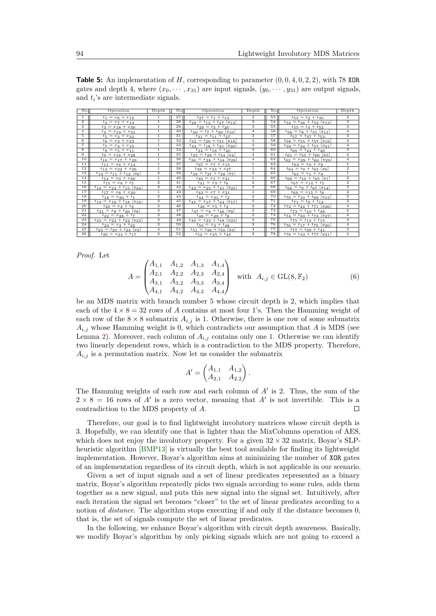<span id="page-10-0"></span>**Table 5:** An implementation of *H*, corresponding to parameter (0*,* 0*,* 4*,* 0*,* 2*,* 2), with 78 XOR gates and depth 4, where  $(x_0, \dots, x_{31})$  are input signals,  $(y_0, \dots, y_{31})$  are output signals, and  $t_i$ 's are intermediate signals.

| No.            | Operation                                     | Depth                   | No. | Operation                                     | Depth                   | No.  | Operation                                     | Depth                     |
|----------------|-----------------------------------------------|-------------------------|-----|-----------------------------------------------|-------------------------|------|-----------------------------------------------|---------------------------|
|                | $t_1 = x_6 + x_{12}$                          | 1                       | 27  | $t_{27} = t_1 + t_{14}$                       | $\overline{2}$          | 53   | $t_{53} = t_2 + t_{40}$                       | $\overline{2}$            |
| $\overline{2}$ | $t_2 = x_7 + x_{13}$                          | $\mathbf{1}$            | 28  | $t_{28} = t_{12} + t_{27}$ [y <sub>12</sub> ] | 3                       | 54   | $t_{54} = t_{38} + t_{53}$ [ $y_{13}$ ]       | 3                         |
| 3              | $t_3 = x_{18} + x_{30}$                       | $\mathbf{1}$            | 29  | $t_{29} = t_3 + t_{26}$                       | 3                       | 55   | $t_{55} = t_4 + t_{52}$                       | 3                         |
| $\overline{4}$ | $t_4 = x_{19} + x_{31}$                       | $\mathbf{1}$            | 30  | $t_{30} = t_7 + t_{29}$ [y <sub>10</sub> ]    | $\overline{4}$          | 56   | $t_{56} = t_8 + t_{55}$ [y <sub>11</sub> ]    | $\overline{4}$            |
| 5              | $t_5 = x_2 + x_{22}$                          | $\mathbf{1}$            | 31  | $t_{31} = t_{11} + t_{27}$                    | 3                       | 57   | $t_{57} = t_{37} + t_{53}$                    | 3                         |
| 6              | $t_6 = x_3 + x_{23}$                          | $\mathbf{1}$            | 32  | $t_{32} = t_{29} + t_{31}$ [y <sub>18</sub> ] | $\overline{4}$          | 58   | $t_{58} = t_{55} + t_{57}$ [y <sub>19</sub> ] | $\overline{4}$            |
| $\overline{7}$ | $t_7 = x_4 + x_{10}$                          | $\mathbf{1}$            | 33  | $t_{33} = t_{18} + t_{31}$ [y <sub>30</sub> ] | $\overline{4}$          | 59   | $t_{59} = t_{44} + t_{57}$ [y <sub>31</sub> ] | $\overline{4}$            |
| 8              | $t_8 = x_5 + x_{11}$                          | $\mathbf{1}$            | 34  | $t_{34} = t_{18} + t_{20}$                    | 3                       | 60   | $t_{60} = t_{44} + t_{46}$                    | 3                         |
| $\overline{9}$ | $t_9 = x_{16} + x_{28}$                       | $\mathbf{1}$            | 35  | $t_{35} = t_{29} + t_{34}$ [y <sub>4</sub> ]  | $\overline{4}$          | 61   | $t_{61} = t_{55} + t_{60}$ [y <sub>5</sub> ]  | $\overline{4}$            |
| 10             | $t_{10} = x_{17} + x_{29}$                    | $\mathbf{1}$            | 36  | $t_{36} = x_{28} + t_{34}$ [y <sub>28</sub> ] | $\overline{4}$          | 62   | $t_{62} = x_{29} + t_{60} \ [y_{29}]$         | $\overline{4}$            |
| 11             | $t_{11} = x_6 + x_{14}$                       | $\mathbf{1}$            | 37  | $t_{37} = x_7 + x_{15}$                       | $1\,$                   | 63   | $t_{63} = x_0 + x_8$                          | $\mathbf{1}$              |
| 12             | $t_{12} = x_{22} + x_{26}$                    | $\mathbf{1}$            | 38  | $t_{38} = x_{23} + x_{27}$                    | $\mathbf{1}$            | 64   | $t_{64} = t_9 + t_{63} [y_0]$                 | $\overline{2}$            |
| 13             | $t_{13} = t_{11} + t_{12}$ [y <sub>6</sub> ]  | $\overline{\mathbf{2}}$ | 39  | $t_{39} = t_{37} + t_{38}$ [y7]               | $\overline{\mathbf{2}}$ | 65   | $t_{65} = x_1 + x_9$                          | $\overline{1}$            |
| 14             | $t_{14} = x_0 + x_{20}$                       | $\mathbf{1}$            | 40  | $t_{40} = x_1 + x_{21}$                       | $\mathbf{1}$            | 66   | $t_{66} = t_{10} + t_{65}$ [y <sub>1</sub> ]  | $\overline{2}$            |
| 15             | $t_{15} = x_8 + t_5$                          | $\overline{2}$          | 41  | $t_{41} = x_9 + t_6$                          | $\overline{2}$          | 67   | $t_{67} = x_{14} + t_5$                       | $\overline{2}$            |
| 16             | $t_{16} = x_{24} + t_{15}$ [y <sub>24</sub> ] | $\overline{3}$          | 42  | $t_{42} = x_{25} + t_{41} [y_{25}]$           | 3                       | 68   | $t_{68} = t_9 + t_{67}$ [y <sub>14</sub> ]    | $\overline{\overline{3}}$ |
| 17             | $t_{17} = x_6 + x_{20}$                       | $\mathbf{1}$            | 43  | $t_{43} = x_7 + x_{21}$                       | $\mathbf{1}$            | 69   | $t_{69} = x_{15} + t_{6}$                     | $\overline{2}$            |
| 18             | $t_{18} = x_{30} + t_1$                       | $\overline{\mathbf{2}}$ | 44  | $t_{44} = x_{31} + t_2$                       | $\overline{\mathbf{2}}$ | 70   | $t_{70} = t_{10} + t_{69}$ [y <sub>15</sub> ] | 3                         |
| 19             | $t_{19} = x_{16} + t_{18}$ [y <sub>16</sub> ] | 3                       | 45  | $t_{45} = x_{17} + t_{44}$ [917]              | 3                       | 71   | $t_{71} = t_9 + t_{12}$                       | $\overline{2}$            |
| 20             | $t_{20} = x_4 + t_3$                          | $\overline{2}$          | 46  | $t_{46} = x_5 + t_4$                          | $\overline{2}$          | 72   | $t_{72} = t_{24} + t_{71} [y_{26}]$           | $\overline{4}$            |
| 21             | $t_{21} = x_8 + t_{20}$ [y <sub>8</sub> ]     | 3                       | 47  | $t_{47} = x_9 + t_{46}$ [yg]                  | 3                       | 73   | $t_{73} = t_{10} + t_{38}$                    | $\overline{2}$            |
| 22             | $t_{22} = x_{28} + t_7$                       | $\overline{2}$          | 48  | $t_{48} = x_{29} + t_8$                       | $\overline{2}$          | 74   | $t_{74} = t_{50} + t_{73}$ [y <sub>27</sub> ] | $\overline{4}$            |
| 23             | $t_{23} = x_{22} + t_{22}$ [y <sub>22</sub> ] | 3                       | 49  | $t_{49} = x_{23} + t_{48}$ [y <sub>23</sub> ] | 3                       | 75   | $t_{75} = t_{13} + t_{15}$                    | 3                         |
| 24             | $t_{24} = x_2 + t_{22}$                       | 3                       | 50  | $t_{50} = x_3 + t_{48}$                       | 3                       | 76   | $t_{76} = t_{17} + t_{75}$ [y <sub>20</sub> ] | $\overline{4}$            |
| 25             | $t_{25} = t_{20} + t_{24}$ [y <sub>2</sub> ]  | $\overline{4}$          | 51  | $t_{51} = t_{46} + t_{50}$ [y <sub>3</sub> ]  | $\overline{4}$          | 77 I | $t_{77} = t_{39} + t_{41}$                    | 3                         |
| 26             | $t_{26} = x_{24} + t_{17}$                    | $\overline{2}$          | 52  | $t_{52} = x_{25} + t_{43}$                    | $\overline{2}$          | 78   | $t_{78} = t_{43} + t_{77}$ [y <sub>21</sub> ] | $\overline{4}$            |

*Proof.* Let

$$
A = \begin{pmatrix} A_{1,1} & A_{1,2} & A_{1,3} & A_{1,4} \\ A_{2,1} & A_{2,2} & A_{2,3} & A_{2,4} \\ A_{3,1} & A_{3,2} & A_{3,3} & A_{3,4} \\ A_{4,1} & A_{4,2} & A_{4,3} & A_{4,4} \end{pmatrix} \text{ with } A_{i,j} \in GL(8, \mathbb{F}_2)
$$
 (6)

be an MDS matrix with branch number 5 whose circuit depth is 2, which implies that each of the  $4 \times 8 = 32$  rows of *A* contains at most four 1's. Then the Hamming weight of each row of the  $8 \times 8$  submatrix  $A_{i,j}$  is 1. Otherwise, there is one row of some submatrix  $A_{i,j}$  whose Hamming weight is 0, which contradicts our assumption that  $A$  is MDS (see Lemma [2\)](#page-3-2). Moreover, each column of  $A_{i,j}$  contains only one 1. Otherwise we can identify two linearly dependent rows, which is a contradiction to the MDS property. Therefore,  $A_{i,j}$  is a permutation matrix. Now let us consider the submatrix

$$
A' = \begin{pmatrix} A_{1,1} & A_{1,2} \\ A_{2,1} & A_{2,2} \end{pmatrix}.
$$

The Hamming weights of each row and each column of  $A'$  is 2. Thus, the sum of the  $2 \times 8 = 16$  rows of A' is a zero vector, meaning that A' is not invertible. This is a contradiction to the MDS property of *A*.  $\Box$ 

Therefore, our goal is to find lightweight involutory matrices whose circuit depth is 3. Hopefully, we can identify one that is lighter than the MixColumns operation of AES, which does not enjoy the involutory property. For a given  $32 \times 32$  matrix, Boyar's SLPheuristic algorithm [\[BMP13\]](#page-16-8) is virtually the best tool available for finding its lightweight implementation. However, Boyar's algorithm aims at minimizing the number of XOR gates of an implementation regardless of its circuit depth, which is not applicable in our scenario.

Given a set of input signals and a set of linear predicates represented as a binary matrix, Boyar's algorithm repeatedly picks two signals according to some rules, adds them together as a new signal, and puts this new signal into the signal set. Intuitively, after each iteration the signal set becomes "closer" to the set of linear predicates according to a notion of *distance*. The algorithm stops executing if and only if the distance becomes 0, that is, the set of signals compute the set of linear predicates.

In the following, we enhance Boyar's algorithm with circuit depth awareness. Basically, we modify Boyar's algorithm by only picking signals which are not going to exceed a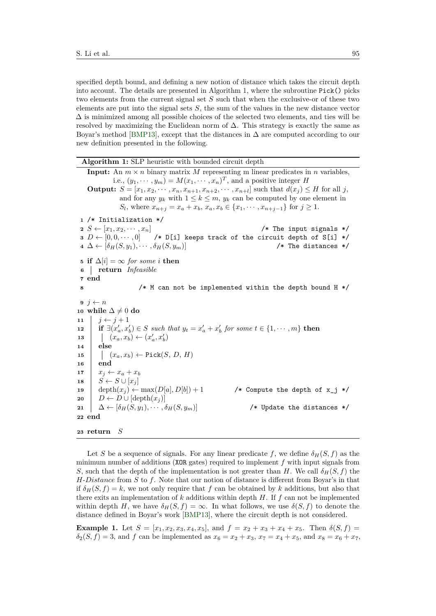specified depth bound, and defining a new notion of distance which takes the circuit depth into account. The details are presented in Algorithm [1,](#page-11-0) where the subroutine Pick() picks two elements from the current signal set *S* such that when the exclusive-or of these two elements are put into the signal sets *S*, the sum of the values in the new distance vector  $\Delta$  is minimized among all possible choices of the selected two elements, and ties will be resolved by maximizing the Euclidean norm of  $\Delta$ . This strategy is exactly the same as Boyar's method [\[BMP13\]](#page-16-8), except that the distances in  $\Delta$  are computed according to our new definition presented in the following.

**Algorithm 1:** SLP heuristic with bounded circuit depth

```
Input: An m \times n binary matrix M representing m linear predicates in n variables,
             i.e., (y_1, \dots, y_m) = M(x_1, \dots, x_n)^T, and a positive integer H
    Output: S = [x_1, x_2, \dots, x_n, x_{n+1}, x_{n+2}, \dots, x_{n+l}] such that d(x_j) \leq H for all j,
               and for any y_k with 1 \leq k \leq m, y_k can be computed by one element in
               S<sub>l</sub>, where x_{n+j} = x_a + x_b, x_a, x_b \in \{x_1, \dots, x_{n+j-1}\} for j \ge 1.
 1 /* Initialization */
 2 S \leftarrow [x_1, x_2, \dots, x_n]<br>
2 S \leftarrow [0, 0, \dots, 0] /* D[i] keeps track of the circuit depth of S[i] */
                            3 D ← [0, 0, · · · , 0] /* D[i] keeps track of the circuit depth of S[i] */
 4 \Delta \leftarrow [\delta_H(S, y_1), \cdots, \delta_H(S, y_m)] /* The distances */
 5 if \Delta[i] = ∞ for some i then
 6 return Infeasible
 7 end
 8 /* M can not be implemented within the depth bound H */
 9 i \leftarrow n10 while \Delta \neq 0 do
11 j \leftarrow j + 1\mathbf{12} if \exists (x'_a, x'_b) \in S such that y_t = x'_a + x'_b for some t \in \{1, \dots, m\} then
13 (x_a, x_b) \leftarrow (x'_a, x'_b)14 else
\mathbf{15} (x_a, x_b) \leftarrow \text{Pick}(S, D, H)16 end
17 x_j \leftarrow x_a + x_b18 \vert S \leftarrow S \cup [x_j]19 depth(x_j) \leftarrow \max(D[a], D[b]) + 1 /* Compute the depth of x_j \cdot y20 D \leftarrow D \cup [\text{depth}(x_i)]21 \Delta \leftarrow [\delta_H(S, y_1), \cdots, \delta_H(S, y_m)] /* Update the distances */
22 end
23 return S
```
Let *S* be a sequence of signals. For any linear predicate f, we define  $\delta_H(S, f)$  as the minimum number of additions (XOR gates) required to implement *f* with input signals from *S*, such that the depth of the implementation is not greater than *H*. We call  $\delta_H(S, f)$  the *H*-*Distance* from *S* to *f*. Note that our notion of distance is different from Boyar's in that if  $\delta_H(S, f) = k$ , we not only require that f can be obtained by k additions, but also that there exits an implementation of *k* additions within depth *H*. If *f* can not be implemented within depth *H*, we have  $\delta_H(S, f) = \infty$ . In what follows, we use  $\delta(S, f)$  to denote the distance defined in Boyar's work [\[BMP13\]](#page-16-8), where the circuit depth is not considered.

**Example 1.** Let  $S = [x_1, x_2, x_3, x_4, x_5]$ , and  $f = x_2 + x_3 + x_4 + x_5$ . Then  $\delta(S, f) =$  $\delta_2(S, f) = 3$ , and *f* can be implemented as  $x_6 = x_2 + x_3$ ,  $x_7 = x_4 + x_5$ , and  $x_8 = x_6 + x_7$ ,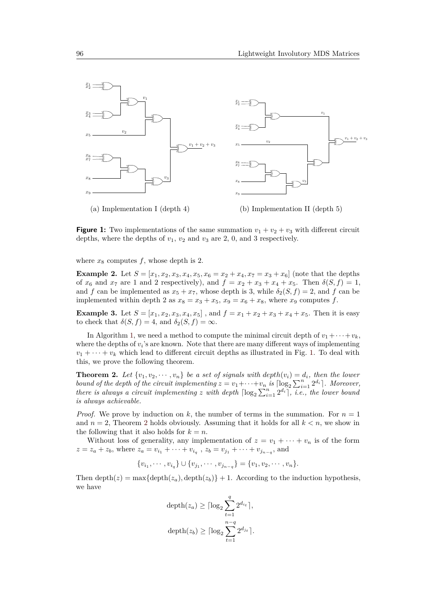<span id="page-12-0"></span>

**Figure 1:** Two implementations of the same summation  $v_1 + v_2 + v_3$  with different circuit depths, where the depths of  $v_1$ ,  $v_2$  and  $v_3$  are 2, 0, and 3 respectively.

where  $x_8$  computes  $f$ , whose depth is 2.

**Example 2.** Let  $S = [x_1, x_2, x_3, x_4, x_5, x_6 = x_2 + x_4, x_7 = x_3 + x_6]$  (note that the depths of  $x_6$  and  $x_7$  are 1 and 2 respectively), and  $f = x_2 + x_3 + x_4 + x_5$ . Then  $\delta(S, f) = 1$ , and *f* can be implemented as  $x_5 + x_7$ , whose depth is 3, while  $\delta_2(S, f) = 2$ , and *f* can be implemented within depth 2 as  $x_8 = x_3 + x_5$ ,  $x_9 = x_6 + x_8$ , where  $x_9$  computes  $f$ .

**Example 3.** Let  $S = [x_1, x_2, x_3, x_4, x_5]$ , and  $f = x_1 + x_2 + x_3 + x_4 + x_5$ . Then it is easy to check that  $\delta(S, f) = 4$ , and  $\delta_2(S, f) = \infty$ .

In Algorithm [1,](#page-11-0) we need a method to compute the minimal circuit depth of  $v_1 + \cdots + v_k$ , where the depths of  $v_i$ 's are known. Note that there are many different ways of implementing  $v_1 + \cdots + v_k$  which lead to different circuit depths as illustrated in Fig. [1.](#page-12-0) To deal with this, we prove the following theorem.

<span id="page-12-1"></span>**Theorem 2.** Let  $\{v_1, v_2, \dots, v_n\}$  be a set of signals with  $depth(v_i) = d_i$ , then the lower *bound of the depth of the circuit implementing*  $z = v_1 + \cdots + v_n$  *is*  $\lceil \log_2 \sum_{i=1}^n 2^{d_i} \rceil$ *. Moreover, there is always a circuit implementing z with depth*  $\lceil \log_2 \sum_{i=1}^n 2^{d_i} \rceil$ , *i.e.*, *the lower bound is always achievable.*

*Proof.* We prove by induction on k, the number of terms in the summation. For  $n = 1$ and  $n = 2$  $n = 2$ , Theorem 2 holds obviously. Assuming that it holds for all  $k < n$ , we show in the following that it also holds for  $k = n$ .

Without loss of generality, any implementation of  $z = v_1 + \cdots + v_n$  is of the form  $z = z_a + z_b$ , where  $z_a = v_{i_1} + \cdots + v_{i_q}$ ,  $z_b = v_{j_1} + \cdots + v_{j_{n-q}}$ , and

$$
\{v_{i_1}, \cdots, v_{i_q}\} \cup \{v_{j_1}, \cdots, v_{j_{n-q}}\} = \{v_1, v_2, \cdots, v_n\}.
$$

Then depth(*z*) = max{depth(*z*<sub>*a*</sub>)</sub>, depth(*z*<sub>*b*</sub>)} + 1. According to the induction hypothesis, we have

$$
\begin{aligned} \text{depth}(z_a) &\geq \lceil \log_2 \sum_{t=1}^q 2^{d_{i_t}} \rceil, \\ \text{depth}(z_b) &\geq \lceil \log_2 \sum_{t=1}^{n-q} 2^{d_{j_t}} \rceil. \end{aligned}
$$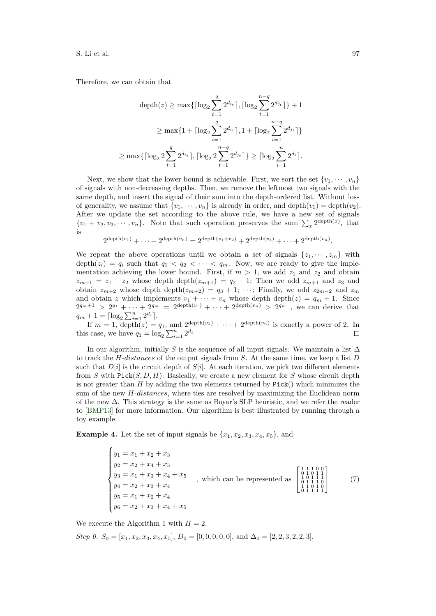Therefore, we can obtain that

 $\geq$ 

$$
\begin{aligned} \text{depth}(z) &\geq \max\{ \lceil \log_2 \sum_{t=1}^q 2^{d_{i_t}} \rceil, \lceil \log_2 \sum_{t=1}^{n-q} 2^{d_{j_t}} \rceil \} + 1 \\ &\geq \max\{1 + \lceil \log_2 \sum_{t=1}^q 2^{d_{i_t}} \rceil, 1 + \lceil \log_2 \sum_{t=1}^{n-q} 2^{d_{j_t}} \rceil \} \\ \max\{ \lceil \log_2 2 \sum_{t=1}^q 2^{d_{i_t}} \rceil, \lceil \log_2 2 \sum_{t=1}^{n-q} 2^{d_{j_t}} \rceil \} \geq \lceil \log_2 \sum_{i=1}^n 2^{d_i} \rceil. \end{aligned}
$$

Next, we show that the lower bound is achievable. First, we sort the set  $\{v_1, \dots, v_n\}$ of signals with non-decreasing depths. Then, we remove the leftmost two signals with the same depth, and insert the signal of their sum into the depth-ordered list. Without loss of generality, we assume that  $\{v_1, \dots, v_n\}$  is already in order, and depth $(v_1) = \text{depth}(v_2)$ . After we update the set according to the above rule, we have a new set of signals  $\{v_1 + v_2, v_3, \dots, v_n\}$ . Note that such operation preserves the sum  $\sum_x 2^{\text{depth}(x)}$ , that is

$$
2^{\operatorname{depth}(v_1)} + \cdots + 2^{\operatorname{depth}(v_n)} = 2^{\operatorname{depth}(v_1 + v_2)} + 2^{\operatorname{depth}(v_3)} + \cdots + 2^{\operatorname{depth}(v_n)}.
$$

We repeat the above operations until we obtain a set of signals  $\{z_1, \dots, z_m\}$  with depth $(z_i) = q_i$  such that  $q_1 < q_2 < \cdots < q_m$ . Now, we are ready to give the implementation achieving the lower bound. First, if  $m > 1$ , we add  $z_1$  and  $z_2$  and obtain  $z_{m+1} = z_1 + z_2$  whose depth depth $(z_{m+1}) = q_2 + 1$ ; Then we add  $z_{m+1}$  and  $z_3$  and obtain  $z_{m+2}$  whose depth depth $(z_{m+2}) = q_3 + 1; \cdots;$  Finally, we add  $z_{2m-2}$  and  $z_m$ and obtain *z* which implements  $v_1 + \cdots + v_n$  whose depth depth $(z) = q_m + 1$ . Since  $2^{q_m+1} > 2^{q_1} + \cdots + 2^{q_m} = 2^{\text{depth}(v_1)} + \cdots + 2^{\text{depth}(v_n)} > 2^{q_m}$ , we can derive that  $q_m + 1 = \lceil \log_2 \sum_{i=1}^n 2^{d_i} \rceil$ .

If  $m = 1$ , depth(*z*) =  $q_1$ , and  $2^{\text{depth}(v_1)} + \cdots + 2^{\text{depth}(v_n)}$  is exactly a power of 2. In this case, we have  $q_1 = \log_2 \sum_{i=1}^n 2^{d_i}$  $\Box$ 

In our algorithm, initially *S* is the sequence of all input signals. We maintain a list  $\Delta$ to track the *H*-*distances* of the output signals from *S*. At the same time, we keep a list *D* such that  $D[i]$  is the circuit depth of  $S[i]$ . At each iteration, we pick two different elements from *S* with Pick(*S, D, H*). Basically, we create a new element for *S* whose circuit depth is not greater than *H* by adding the two elements returned by Pick() which minimizes the sum of the new *H*-*distances*, where ties are resolved by maximizing the Euclidean norm of the new ∆. This strategy is the same as Boyar's SLP heuristic, and we refer the reader to [\[BMP13\]](#page-16-8) for more information. Our algorithm is best illustrated by running through a toy example.

**Example 4.** Let the set of input signals be  $\{x_1, x_2, x_3, x_4, x_5\}$ , and

 $\sqrt{ }$  $\begin{matrix} \phantom{-} \end{matrix}$  $\overline{\mathcal{L}}$  $y_1 = x_1 + x_2 + x_3$  $y_2 = x_2 + x_4 + x_5$  $y_3 = x_1 + x_3 + x_4 + x_5$  $y_4 = x_2 + x_3 + x_4$  $y_5 = x_1 + x_2 + x_4$  $y_6 = x_2 + x_3 + x_4 + x_5$ *,* which can be represented as  $\sqrt{ }$  $\overline{\phantom{a}}$  $\begin{array}{cccc} 1 & 1 & 1 & 0 & 0 \\ 0 & 1 & 0 & 1 & 1 \\ 1 & 0 & 1 & 1 & 1 \\ 0 & 1 & 1 & 1 & 0 \\ 1 & 1 & 0 & 1 & 0 \\ 0 & 1 & 1 & 1 & 1 \end{array}$ 1 (7)

We execute the Algorithm [1](#page-11-0) with  $H = 2$ .

Step 0. 
$$
S_0 = [x_1, x_2, x_3, x_4, x_5]
$$
,  $D_0 = [0, 0, 0, 0, 0]$ , and  $\Delta_0 = [2, 2, 3, 2, 2, 3]$ .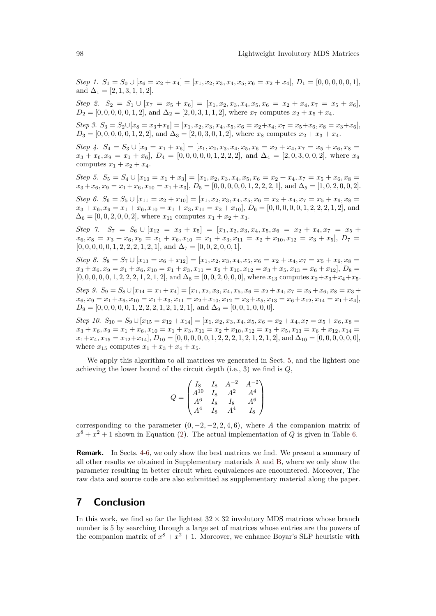Step 1.  $S_1 = S_0 \cup [x_6 = x_2 + x_4] = [x_1, x_2, x_3, x_4, x_5, x_6 = x_2 + x_4], D_1 = [0, 0, 0, 0, 0, 1],$ and  $\Delta_1 = [2, 1, 3, 1, 1, 2].$ 

*Step 2.*  $S_2 = S_1 \cup [x_7 = x_5 + x_6] = [x_1, x_2, x_3, x_4, x_5, x_6 = x_2 + x_4, x_7 = x_5 + x_6],$  $D_2 = [0, 0, 0, 0, 0, 1, 2]$ , and  $\Delta_2 = [2, 0, 3, 1, 1, 2]$ , where  $x_7$  computes  $x_2 + x_5 + x_4$ .

Step 3.  $S_3 = S_2 \cup [x_8 = x_3 + x_6] = [x_1, x_2, x_3, x_4, x_5, x_6 = x_2 + x_4, x_7 = x_5 + x_6, x_8 = x_3 + x_6],$  $D_3 = [0, 0, 0, 0, 0, 1, 2, 2]$ , and  $\Delta_3 = [2, 0, 3, 0, 1, 2]$ , where  $x_8$  computes  $x_2 + x_3 + x_4$ .

*Step 4.*  $S_4 = S_3 \cup [x_9 = x_1 + x_6] = [x_1, x_2, x_3, x_4, x_5, x_6 = x_2 + x_4, x_7 = x_5 + x_6, x_8 = x_6$  $x_3 + x_6, x_9 = x_1 + x_6$ ,  $D_4 = [0, 0, 0, 0, 0, 1, 2, 2, 2]$ , and  $\Delta_4 = [2, 0, 3, 0, 0, 2]$ , where  $x_9$ computes  $x_1 + x_2 + x_4$ .

*Step 5.*  $S_5 = S_4 \cup [x_{10} = x_1 + x_3] = [x_1, x_2, x_3, x_4, x_5, x_6 = x_2 + x_4, x_7 = x_5 + x_6, x_8 = x_6$  $x_3 + x_6, x_9 = x_1 + x_6, x_{10} = x_1 + x_3$ ,  $D_5 = [0, 0, 0, 0, 0, 1, 2, 2, 2, 1]$ , and  $\Delta_5 = [1, 0, 2, 0, 0, 2]$ .

*Step 6.*  $S_6 = S_5 \cup [x_{11} = x_2 + x_{10}] = [x_1, x_2, x_3, x_4, x_5, x_6 = x_2 + x_4, x_7 = x_5 + x_6, x_8 = x_6$  $x_3 + x_6, x_9 = x_1 + x_6, x_{10} = x_1 + x_3, x_{11} = x_2 + x_{10}$ ,  $D_6 = [0, 0, 0, 0, 0, 1, 2, 2, 2, 1, 2]$ , and  $\Delta_6 = [0, 0, 2, 0, 0, 2]$ , where  $x_{11}$  computes  $x_1 + x_2 + x_3$ .

*Step* 7.  $S_7 = S_6 \cup [x_{12} = x_3 + x_5] = [x_1, x_2, x_3, x_4, x_5, x_6 = x_2 + x_4, x_7 = x_5 + x_6$  $x_6, x_8 = x_3 + x_6, x_9 = x_1 + x_6, x_{10} = x_1 + x_3, x_{11} = x_2 + x_{10}, x_{12} = x_3 + x_5$ ,  $D_7 =$  $[0, 0, 0, 0, 0, 1, 2, 2, 2, 1, 2, 1]$ , and  $\Delta_7 = [0, 0, 2, 0, 0, 1]$ .

*Step 8.*  $S_8 = S_7 \cup [x_{13} = x_6 + x_{12}] = [x_1, x_2, x_3, x_4, x_5, x_6 = x_2 + x_4, x_7 = x_5 + x_6, x_8 = x_6$  $x_3 + x_6, x_9 = x_1 + x_6, x_{10} = x_1 + x_3, x_{11} = x_2 + x_{10}, x_{12} = x_3 + x_5, x_{13} = x_6 + x_{12}$ ,  $D_8 = x_3 + x_6, x_{14} = x_7$  $[0, 0, 0, 0, 0, 1, 2, 2, 2, 1, 2, 1, 2]$ , and  $\Delta_8 = [0, 0, 2, 0, 0, 0]$ , where  $x_{13}$  computes  $x_2 + x_3 + x_4 + x_5$ .

*Step 9.*  $S_9 = S_8 \cup [x_{14} = x_1 + x_4] = [x_1, x_2, x_3, x_4, x_5, x_6 = x_2 + x_4, x_7 = x_5 + x_6, x_8 = x_3 + x_4$  $x_6, x_9 = x_1 + x_6, x_{10} = x_1 + x_3, x_{11} = x_2 + x_{10}, x_{12} = x_3 + x_5, x_{13} = x_6 + x_{12}, x_{14} = x_1 + x_4$  $D_9 = [0, 0, 0, 0, 0, 1, 2, 2, 2, 1, 2, 1, 2, 1]$ , and  $\Delta_9 = [0, 0, 1, 0, 0, 0]$ .

*Step 10.*  $S_{10} = S_9 \cup [x_{15} = x_{12} + x_{14}] = [x_1, x_2, x_3, x_4, x_5, x_6 = x_2 + x_4, x_7 = x_5 + x_6, x_8 = x_6$  $x_3 + x_6, x_9 = x_1 + x_6, x_{10} = x_1 + x_3, x_{11} = x_2 + x_{10}, x_{12} = x_3 + x_5, x_{13} = x_6 + x_{12}, x_{14} = x_6$  $x_1+x_4, x_{15}=x_{12}+x_{14}$ ,  $D_{10}=[0,0,0,0,0,1,2,2,2,1,2,1,2,1,2]$ , and  $\Delta_{10}=[0,0,0,0,0,0]$ , where  $x_{15}$  computes  $x_1 + x_3 + x_4 + x_5$ .

We apply this algorithm to all matrices we generated in Sect. [5,](#page-6-0) and the lightest one achieving the lower bound of the circuit depth (i.e., 3) we find is *Q*,

|       |  |                                                                                                                           | $A^{-2}$       |
|-------|--|---------------------------------------------------------------------------------------------------------------------------|----------------|
| $Q =$ |  |                                                                                                                           | $\mathbb{A}^4$ |
|       |  |                                                                                                                           | $\tilde{A}^6$  |
|       |  | $\left(\begin{array}{ccc} I_8 & I_8 & A^{-2} \ A^{10} & I_8 & A^2 \ A^6 & I_8 & I_8 \ A^4 & I_8 & A^4 \end{array}\right)$ | $I_8$ /        |

corresponding to the parameter  $(0, -2, -2, 2, 4, 6)$ , where *A* the companion matrix of  $x^8 + x^2 + 1$  shown in Equation [\(2\)](#page-5-2). The actual implementation of *Q* is given in Table [6.](#page-15-2)

**Remark.** In Sects. [4](#page-4-1)[-6,](#page-9-0) we only show the best matrices we find. We present a summary of all other results we obtained in Supplementary materials [A](#page-19-0) and [B,](#page-27-0) where we only show the parameter resulting in better circuit when equivalences are encountered. Moreover, The raw data and source code are also submitted as supplementary material along the paper.

#### <span id="page-14-0"></span>**7 Conclusion**

In this work, we find so far the lightest  $32 \times 32$  involutory MDS matrices whose branch number is 5 by searching through a large set of matrices whose entries are the powers of the companion matrix of  $x^8 + x^2 + 1$ . Moreover, we enhance Boyar's SLP heuristic with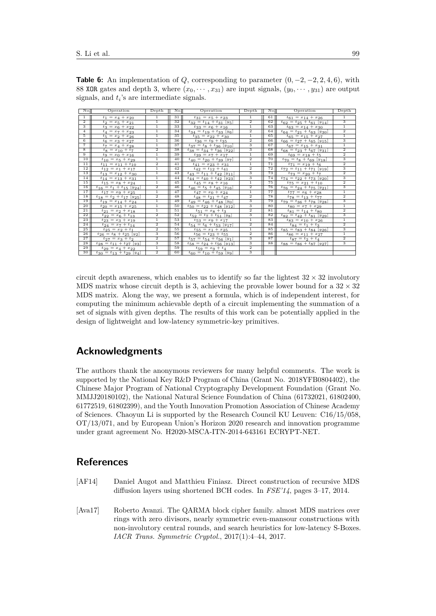| No.                     | Operation                                    | Depth          | No. | Operation                                     | Depth          | No.             | Operation                                     | Depth                     |
|-------------------------|----------------------------------------------|----------------|-----|-----------------------------------------------|----------------|-----------------|-----------------------------------------------|---------------------------|
| $\mathbf{1}$            | $t_1 = x_4 + x_{20}$                         | $\mathbf{1}$   | 31  | $t_{31} = x_5 + x_{23}$                       | $\mathbf{1}$   | 61              | $t_{61} = x_{14} + x_{26}$                    | $\mathbf{1}$              |
| $\overline{2}$          | $t_2 = x_5 + x_{21}$                         | $\mathbf{1}$   | 32  | $t_{32} = t_{14} + t_{31} [y_5]$              | $\overline{2}$ | 62              | $t_{62} = t_{25} + t_{61}$ [y <sub>14</sub> ] | $\overline{\mathbf{3}}$   |
| 3                       | $t_3 = x_6 + x_{22}$                         | $\mathbf{1}$   | 33  | $t_{33} = x_6 + x_{16}$                       | $\mathbf{1}$   | 63              | $t_{63} = x_{14} + x_{30}$                    | $\overline{1}$            |
| $\overline{4}$          | $t_4 = x_7 + x_{23}$                         | $\mathbf{1}$   | 34  | $t_{34} = t_{19} + t_{33}$ [y <sub>6</sub> ]  | $\overline{2}$ | 64              | $t_{64} = t_{21} + t_{63}$ [y <sub>30</sub> ] | $\overline{2}$            |
| 5                       | $t_5 = x_2 + x_{26}$                         | $\mathbf{1}$   | 35  | $t_{35} = x_{22} + x_{30}$                    | $\mathbf{1}$   | $\overline{65}$ | $t_{65} = x_{15} + x_{27}$                    | $\overline{1}$            |
| $\overline{6}$          | $t_6 = x_3 + x_{27}$                         | $\overline{1}$ | 36  | $t_{36} = t_9 + t_{35}$                       | $\overline{2}$ | 66              | $t_{66} = t_{27} + t_{65}$ [y <sub>15</sub> ] |                           |
| $\overline{7}$          | $t_7 = x_4 + x_{28}$                         | $\mathbf{1}$   | 37  | $t_{37} = t_8 + t_{36} [y_{10}]$              | 3              | 67              | $t_{67} = x_{15} + x_{31}$                    | $\overline{1}$            |
| $\overline{\mathbf{8}}$ | $t_8 = x_{10} + t_7$                         | $\overline{2}$ | 38  | $t_{38} = t_{34} + t_{36}$ [y <sub>22</sub> ] | 3              | 68              | $t_{68} = t_{23} + t_{67}$ [y <sub>31</sub> ] | $\overline{2}$            |
| 9                       | $t_9 = x_0 + x_{16}$                         | $\mathbf{1}$   | 39  | $t_{39} = x_7 + x_{17}$                       | $\mathbf{1}$   | 69              | $t_{69} = x_{18} + t_5$                       | $\overline{2}$            |
| 10                      | $t_{10} = x_5 + x_{29}$                      | $\mathbf{1}$   | 40  | $t_{40} = t_{20} + t_{39}$ [y7]               | $\overline{2}$ | 70              | $t_{70} = t_8 + t_{69} [y_{18}]$              | 3                         |
| 11                      | $t_{11} = x_{11} + t_{10}$                   | $\overline{2}$ | 41  | $t_{41} = x_{23} + x_{31}$                    | $\mathbf{1}$   | 71              | $t_{71} = x_{19} + t_6$                       | $\overline{2}$            |
| 12                      | $t_{12} = x_1 + x_{17}$                      | $\mathbf{1}$   | 42  | $t_{42} = t_{12} + t_{41}$                    | $\overline{2}$ | 72              | $t_{72} = t_{11} + t_{71} [y_{19}]$           | 3                         |
| 13                      | $t_{13} = x_{12} + x_{30}$                   | $\mathbf{1}$   | 43  | $t_{43} = t_{11} + t_{42}$ [y <sub>11</sub> ] | 3              | 73              | $t_{73} = x_{20} + t_7$                       | $\overline{2}$            |
| 14                      | $t_{14} = x_{13} + x_{31}$                   | $\overline{1}$ | 44  | $t_{44} = t_{40} + t_{42}$ [y <sub>23</sub> ] | 3              | 74              | $t_{74} = t_{22} + t_{73}$ [y <sub>20</sub> ] | $\overline{\overline{3}}$ |
| 15                      | $t_{15} = x_8 + x_{24}$                      | $\mathbf{1}$   | 45  | $t_{45} = x_8 + x_{16}$                       | $\overline{1}$ | 75              | $t_{75} = x_{21} + t_{10}$                    | $\overline{2}$            |
| 16                      | $t_{16} = t_1 + t_{15}$ [y <sub>24</sub> ]   | $\overline{2}$ | 46  | $t_{46} = t_5 + t_{45}$ [y <sub>16</sub> ]    | $\overline{2}$ | 76              | $t_{76} = t_{24} + t_{75}$ [y <sub>21</sub> ] | 3                         |
| 17                      | $t_{17} = x_9 + x_{25}$                      | $\mathbf{1}$   | 47  | $t_{47} = x_0 + x_{24}$                       | $\mathbf{1}$   | 77              | $t_{77} = x_6 + x_{28}$                       | $\overline{1}$            |
| 18                      | $t_{18} = t_2 + t_{17} [y_{25}]$             | $\overline{2}$ | 48  | $t_{48} = t_{21} + t_{47}$                    | $\overline{2}$ | 78              | $t_{78} = t_{13} + t_{77}$                    | $\overline{2}$            |
| 19                      | $t_{19} = x_{14} + x_{24}$                   | $\mathbf{1}$   | 49  | $t_{49} = t_{46} + t_{48}$ [y <sub>0</sub> ]  | 3              | 79              | $t_{79} = t_{36} + t_{78}$ [y <sub>28</sub> ] | 3                         |
| 20                      | $t_{20} = x_{15} + x_{25}$                   | $\mathbf{1}$   | 50  | $t_{50} = t_{22} + t_{48}$ [y <sub>12</sub> ] | 3              | 80              | $t_{80} = x_7 + x_{29}$                       | $\overline{1}$            |
| 21                      | $t_{21} = x_2 + x_{18}$                      | $\mathbf{1}$   | 51  | $t_{51} = x_8 + t_3$                          | $\overline{2}$ | 81              | $t_{81} = t_{14} + t_{80}$                    | $\overline{2}$            |
| 22                      | $t_{22} = x_6 + t_{13}$                      | $\overline{2}$ | 52  | $t_{52} = t_7 + t_{51}$ [y <sub>8</sub> ]     | 3              | 82              | $t_{82} = t_{42} + t_{81}$ [y <sub>29</sub> ] | 3                         |
| 23                      | $t_{23} = x_3 + x_{19}$                      | $\mathbf{1}$   | 53  | $t_{53} = x_9 + x_{17}$                       | $\mathbf{1}$   | 83              | $t_{83} = x_{10} + x_{26}$                    | $\overline{1}$            |
| 24                      | $t_{24} = x_7 + t_{14}$                      | $\overline{2}$ | 54  | $t_{54} = t_6 + t_{53}$ [y <sub>17</sub> ]    | $\overline{2}$ | 84              | $t_{84} = t_1 + t_3$                          | $\overline{2}$            |
| 25                      | $t_{25} = x_2 + t_1$                         | $\overline{2}$ | 55  | $t_{55} = x_1 + x_{25}$                       | T              | 85              | $t_{85} = t_{83} + t_{84}$ [y <sub>26</sub> ] | $\overline{\mathbf{3}}$   |
| 26                      | $t_{26} = t_8 + t_{25} [y_2]$                | 3              | 56  | $t_{56} = t_{23} + t_{55}$                    | $\overline{2}$ | 86              | $t_{86} = x_{11} + x_{27}$                    | $\overline{1}$            |
| 27                      | $t_{27} = x_3 + t_2$                         | $\overline{2}$ | 57  | $t_{57} = t_{54} + t_{56}$ [y <sub>1</sub> ]  | 3              | 87              | $t_{87} = t_2 + t_4$                          | $\overline{2}$            |
| 28                      | $t_{28} = t_{11} + t_{27}$ [y <sub>3</sub> ] | 3              | 58  | $t_{58} = t_{24} + t_{56}$ [y <sub>13</sub> ] | 3              | 88              | $t_{88} = t_{86} + t_{87} [y_{27}]$           | 3                         |
| 29                      | $t_{29} = x_4 + x_{22}$                      | $\overline{1}$ | 59  | $t_{59} = x_9 + t_4$                          | $\overline{2}$ |                 |                                               |                           |
| 30                      | $t_{30} = t_{13} + t_{29}$ [y <sub>4</sub> ] | $\overline{2}$ | 60  | $t_{60} = t_{10} + t_{59}$ [y <sub>9</sub> ]  | 3              |                 |                                               |                           |

<span id="page-15-2"></span>**Table 6:** An implementation of *Q*, corresponding to parameter  $(0, -2, -2, 2, 4, 6)$ , with 88 XOR gates and depth 3, where  $(x_0, \dots, x_{31})$  are input signals,  $(y_0, \dots, y_{31})$  are output signals, and *t<sup>i</sup>* 's are intermediate signals.

circuit depth awareness, which enables us to identify so far the lightest  $32 \times 32$  involutory MDS matrix whose circuit depth is 3, achieving the provable lower bound for a  $32 \times 32$ MDS matrix. Along the way, we present a formula, which is of independent interest, for computing the minimum achievable depth of a circuit implementing the summation of a set of signals with given depths. The results of this work can be potentially applied in the design of lightweight and low-latency symmetric-key primitives.

### **Acknowledgments**

The authors thank the anonymous reviewers for many helpful comments. The work is supported by the National Key R&D Program of China (Grant No. 2018YFB0804402), the Chinese Major Program of National Cryptography Development Foundation (Grant No. MMJJ20180102), the National Natural Science Foundation of China (61732021, 61802400, 61772519, 61802399), and the Youth Innovation Promotion Association of Chinese Academy of Sciences. Chaoyun Li is supported by the Research Council KU Leuven: C16/15/058, OT/13/071, and by European Union's Horizon 2020 research and innovation programme under grant agreement No. H2020-MSCA-ITN-2014-643161 ECRYPT-NET.

## **References**

- <span id="page-15-1"></span>[AF14] Daniel Augot and Matthieu Finiasz. Direct construction of recursive MDS diffusion layers using shortened BCH codes. In *FSE'14*, pages 3–17, 2014.
- <span id="page-15-0"></span>[Ava17] Roberto Avanzi. The QARMA block cipher family. almost MDS matrices over rings with zero divisors, nearly symmetric even-mansour constructions with non-involutory central rounds, and search heuristics for low-latency S-Boxes. *IACR Trans. Symmetric Cryptol.*, 2017(1):4–44, 2017.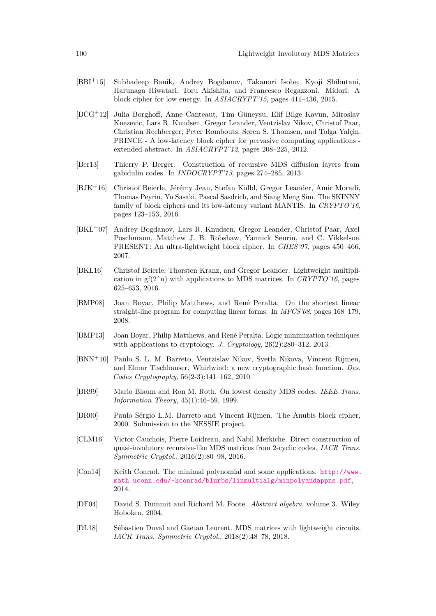- <span id="page-16-0"></span>[BBI<sup>+</sup>15] Subhadeep Banik, Andrey Bogdanov, Takanori Isobe, Kyoji Shibutani, Harunaga Hiwatari, Toru Akishita, and Francesco Regazzoni. Midori: A block cipher for low energy. In *ASIACRYPT'15*, pages 411–436, 2015.
- <span id="page-16-4"></span>[BCG<sup>+</sup>12] Julia Borghoff, Anne Canteaut, Tim Güneysu, Elif Bilge Kavun, Miroslav Knezevic, Lars R. Knudsen, Gregor Leander, Ventzislav Nikov, Christof Paar, Christian Rechberger, Peter Rombouts, Søren S. Thomsen, and Tolga Yalçin. PRINCE - A low-latency block cipher for pervasive computing applications extended abstract. In *ASIACRYPT'12*, pages 208–225, 2012.
- <span id="page-16-5"></span>[Ber13] Thierry P. Berger. Construction of recursive MDS diffusion layers from gabidulin codes. In *INDOCRYPT'13*, pages 274–285, 2013.
- <span id="page-16-1"></span>[BJK<sup>+</sup>16] Christof Beierle, Jérémy Jean, Stefan Kölbl, Gregor Leander, Amir Moradi, Thomas Peyrin, Yu Sasaki, Pascal Sasdrich, and Siang Meng Sim. The SKINNY family of block ciphers and its low-latency variant MANTIS. In *CRYPTO'16*, pages 123–153, 2016.
- <span id="page-16-2"></span>[BKL<sup>+</sup>07] Andrey Bogdanov, Lars R. Knudsen, Gregor Leander, Christof Paar, Axel Poschmann, Matthew J. B. Robshaw, Yannick Seurin, and C. Vikkelsoe. PRESENT: An ultra-lightweight block cipher. In *CHES'07*, pages 450–466, 2007.
- <span id="page-16-7"></span>[BKL16] Christof Beierle, Thorsten Kranz, and Gregor Leander. Lightweight multiplication in  $gf(2<sup>^</sup>n)$  with applications to MDS matrices. In *CRYPTO'16*, pages 625–653, 2016.
- <span id="page-16-13"></span>[BMP08] Joan Boyar, Philip Matthews, and René Peralta. On the shortest linear straight-line program for computing linear forms. In *MFCS'08*, pages 168–179, 2008.
- <span id="page-16-8"></span>[BMP13] Joan Boyar, Philip Matthews, and René Peralta. Logic minimization techniques with applications to cryptology. *J. Cryptology*, 26(2):280–312, 2013.
- <span id="page-16-14"></span>[BNN<sup>+</sup>10] Paulo S. L. M. Barreto, Ventzislav Nikov, Svetla Nikova, Vincent Rijmen, and Elmar Tischhauser. Whirlwind: a new cryptographic hash function. *Des. Codes Cryptography*, 56(2-3):141–162, 2010.
- <span id="page-16-12"></span>[BR99] Mario Blaum and Ron M. Roth. On lowest density MDS codes. *IEEE Trans. Information Theory*, 45(1):46–59, 1999.
- <span id="page-16-3"></span>[BR00] Paulo Sérgio L.M. Barreto and Vincent Rijmen. The Anubis block cipher, 2000. Submission to the NESSIE project.
- <span id="page-16-6"></span>[CLM16] Victor Cauchois, Pierre Loidreau, and Nabil Merkiche. Direct construction of quasi-involutory recursive-like MDS matrices from 2-cyclic codes. *IACR Trans. Symmetric Cryptol.*, 2016(2):80–98, 2016.
- <span id="page-16-11"></span>[Con14] Keith Conrad. The minimal polynomial and some applications. [http://www.](http://www.math.uconn.edu/~kconrad/blurbs/linmultialg/minpolyandappns.pdf) [math.uconn.edu/~kconrad/blurbs/linmultialg/minpolyandappns.pdf](http://www.math.uconn.edu/~kconrad/blurbs/linmultialg/minpolyandappns.pdf), 2014.
- <span id="page-16-10"></span>[DF04] David S. Dummit and Richard M. Foote. *Abstract algebra*, volume 3. Wiley Hoboken, 2004.
- <span id="page-16-9"></span>[DL18] Sébastien Duval and Gaëtan Leurent. MDS matrices with lightweight circuits. *IACR Trans. Symmetric Cryptol.*, 2018(2):48–78, 2018.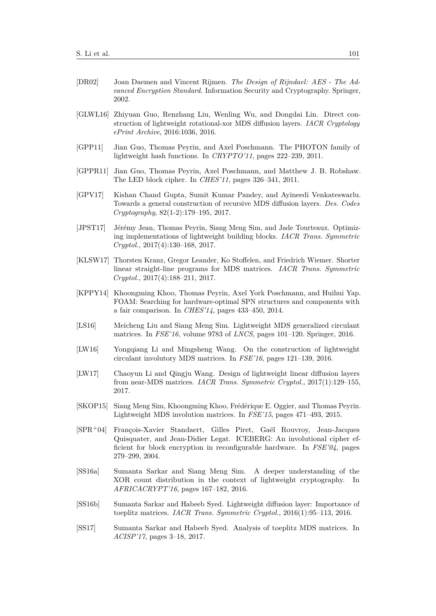- <span id="page-17-0"></span>[DR02] Joan Daemen and Vincent Rijmen. *The Design of Rijndael: AES - The Advanced Encryption Standard*. Information Security and Cryptography. Springer, 2002.
- <span id="page-17-13"></span>[GLWL16] Zhiyuan Guo, Renzhang Liu, Wenling Wu, and Dongdai Lin. Direct construction of lightweight rotational-xor MDS diffusion layers. *IACR Cryptology ePrint Archive*, 2016:1036, 2016.
- <span id="page-17-2"></span>[GPP11] Jian Guo, Thomas Peyrin, and Axel Poschmann. The PHOTON family of lightweight hash functions. In *CRYPTO'11*, pages 222–239, 2011.
- <span id="page-17-3"></span>[GPPR11] Jian Guo, Thomas Peyrin, Axel Poschmann, and Matthew J. B. Robshaw. The LED block cipher. In *CHES'11*, pages 326–341, 2011.
- <span id="page-17-4"></span>[GPV17] Kishan Chand Gupta, Sumit Kumar Pandey, and Ayineedi Venkateswarlu. Towards a general construction of recursive MDS diffusion layers. *Des. Codes Cryptography*, 82(1-2):179–195, 2017.
- <span id="page-17-12"></span>[JPST17] Jérémy Jean, Thomas Peyrin, Siang Meng Sim, and Jade Tourteaux. Optimizing implementations of lightweight building blocks. *IACR Trans. Symmetric Cryptol.*, 2017(4):130–168, 2017.
- <span id="page-17-14"></span>[KLSW17] Thorsten Kranz, Gregor Leander, Ko Stoffelen, and Friedrich Wiemer. Shorter linear straight-line programs for MDS matrices. *IACR Trans. Symmetric Cryptol.*, 2017(4):188–211, 2017.
- <span id="page-17-15"></span>[KPPY14] Khoongming Khoo, Thomas Peyrin, Axel York Poschmann, and Huihui Yap. FOAM: Searching for hardware-optimal SPN structures and components with a fair comparison. In *CHES'14*, pages 433–450, 2014.
- <span id="page-17-6"></span>[LS16] Meicheng Liu and Siang Meng Sim. Lightweight MDS generalized circulant matrices. In *FSE'16*, volume 9783 of *LNCS*, pages 101–120. Springer, 2016.
- <span id="page-17-7"></span>[LW16] Yongqiang Li and Mingsheng Wang. On the construction of lightweight circulant involutory MDS matrices. In *FSE'16*, pages 121–139, 2016.
- <span id="page-17-8"></span>[LW17] Chaoyun Li and Qingju Wang. Design of lightweight linear diffusion layers from near-MDS matrices. *IACR Trans. Symmetric Cryptol.*, 2017(1):129–155, 2017.
- <span id="page-17-5"></span>[SKOP15] Siang Meng Sim, Khoongming Khoo, Frédérique E. Oggier, and Thomas Peyrin. Lightweight MDS involution matrices. In *FSE'15*, pages 471–493, 2015.
- <span id="page-17-1"></span>[SPR<sup>+</sup>04] François-Xavier Standaert, Gilles Piret, Gaël Rouvroy, Jean-Jacques Quisquater, and Jean-Didier Legat. ICEBERG: An involutional cipher efficient for block encryption in reconfigurable hardware. In *FSE'04*, pages 279–299, 2004.
- <span id="page-17-9"></span>[SS16a] Sumanta Sarkar and Siang Meng Sim. A deeper understanding of the XOR count distribution in the context of lightweight cryptography. In *AFRICACRYPT'16*, pages 167–182, 2016.
- <span id="page-17-10"></span>[SS16b] Sumanta Sarkar and Habeeb Syed. Lightweight diffusion layer: Importance of toeplitz matrices. *IACR Trans. Symmetric Cryptol.*, 2016(1):95–113, 2016.
- <span id="page-17-11"></span>[SS17] Sumanta Sarkar and Habeeb Syed. Analysis of toeplitz MDS matrices. In *ACISP'17*, pages 3–18, 2017.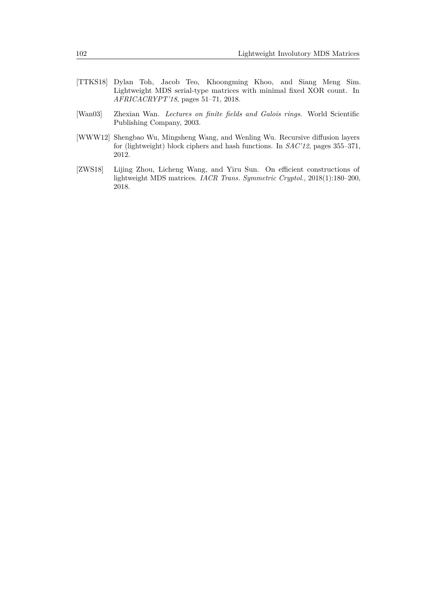- <span id="page-18-0"></span>[TTKS18] Dylan Toh, Jacob Teo, Khoongming Khoo, and Siang Meng Sim. Lightweight MDS serial-type matrices with minimal fixed XOR count. In *AFRICACRYPT'18*, pages 51–71, 2018.
- <span id="page-18-3"></span>[Wan03] Zhexian Wan. *Lectures on finite fields and Galois rings*. World Scientific Publishing Company, 2003.
- <span id="page-18-1"></span>[WWW12] Shengbao Wu, Mingsheng Wang, and Wenling Wu. Recursive diffusion layers for (lightweight) block ciphers and hash functions. In *SAC'12*, pages 355–371, 2012.
- <span id="page-18-2"></span>[ZWS18] Lijing Zhou, Licheng Wang, and Yiru Sun. On efficient constructions of lightweight MDS matrices. *IACR Trans. Symmetric Cryptol.*, 2018(1):180–200, 2018.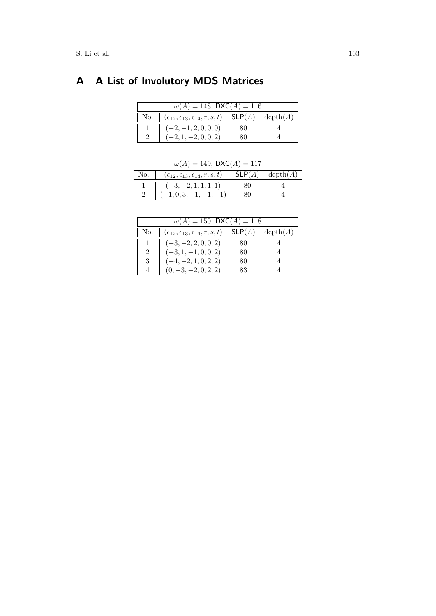# <span id="page-19-0"></span>**A A List of Involutory MDS Matrices**

| $\omega(A) = 148$ , DXC(A) = 116 |                                                                              |  |  |  |  |  |
|----------------------------------|------------------------------------------------------------------------------|--|--|--|--|--|
| No.                              | $(\epsilon_{12}, \epsilon_{13}, \epsilon_{14}, r, s, t)$   SLP(A)   depth(A) |  |  |  |  |  |
|                                  | $-2, -1, 2, 0, 0, 0)$                                                        |  |  |  |  |  |
|                                  | $(-2, 1, -2, 0, 0, 2)$                                                       |  |  |  |  |  |

| $\omega(A) = 149$ , DXC(A) = 117 |                                                          |        |                           |  |  |  |
|----------------------------------|----------------------------------------------------------|--------|---------------------------|--|--|--|
| No.                              | $(\epsilon_{12}, \epsilon_{13}, \epsilon_{14}, r, s, t)$ | SLP(A) | $\operatorname{depth}(A)$ |  |  |  |
|                                  | $-3, -2, 1, 1, 1, 1)$                                    |        |                           |  |  |  |
|                                  | $-1, 0, 3, -1, -$                                        |        |                           |  |  |  |

| $\omega(A) = 150$ , DXC(A) = 118 |                                                          |        |                           |  |  |  |
|----------------------------------|----------------------------------------------------------|--------|---------------------------|--|--|--|
| No.                              | $(\epsilon_{12}, \epsilon_{13}, \epsilon_{14}, r, s, t)$ | SLP(A) | $\operatorname{depth}(A)$ |  |  |  |
|                                  | $(-3, -2, 2, 0, 0, 2)$                                   | 80     |                           |  |  |  |
| 2                                | $(-3, 1, -1, 0, 0, 2)$                                   | 80     |                           |  |  |  |
| 3                                | $(-4, -2, 1, 0, 2, 2)$                                   | 80     |                           |  |  |  |
|                                  | $(0, -3, -2, 0, 2, 2)$                                   | 83     |                           |  |  |  |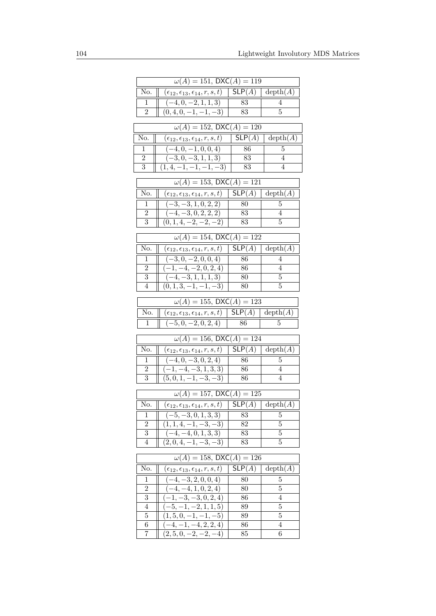|                | $\omega(A) = 151$ , $\overline{\text{DXC}(A) = 119}$                                              |                              |                           |
|----------------|---------------------------------------------------------------------------------------------------|------------------------------|---------------------------|
| No.            | $(\epsilon_{12}, \epsilon_{13}, \epsilon_{14}, r, s, t)$                                          | SLP(A)                       | $\operatorname{depth}(A)$ |
| 1              | $(-4,0,-2,1,1,3)$                                                                                 | 83                           | 4                         |
| $\overline{2}$ | $(0, 4, 0, -1, -1, -3)$                                                                           | 83                           | 5                         |
|                | $\omega(A) = 152$ , DXC(A) = 120                                                                  |                              |                           |
| No.            | $(\epsilon_{12},\epsilon_{13},\epsilon_{14},r,s,t)$                                               | SLP(A)                       | $\operatorname{depth}(A)$ |
| 1              | $(-4, 0, -1, 0, 0, 4)$                                                                            | 86                           | 5                         |
| $\overline{2}$ | $\overline{(-3,0,-3,1,1,3)}$                                                                      | 83                           | 4                         |
| $\overline{3}$ | $(1, 4, -1, -1, -1, -3)$                                                                          | 83                           | $\overline{4}$            |
|                | $\omega(A) = 153$ , DXC(A) = 121                                                                  |                              |                           |
| No.            | $(\epsilon_{12},\epsilon_{13},\epsilon_{14},r,s,t)$                                               | SLP(A)                       | $\operatorname{depth}(A)$ |
| T              | $(-3, -3, 1, 0, 2, 2)$                                                                            | 80                           | 5                         |
| $\overline{2}$ | $(-4, -3, 0, 2, 2, 2)$                                                                            | 83                           | 4                         |
| $\overline{3}$ | $(0, 1, 4, -2, -2, -2)$                                                                           | 83                           | 5                         |
|                | $\omega(A) = 154$ , DXC(A) = 122                                                                  |                              |                           |
| No.            | $(\epsilon_{12},\epsilon_{13},\epsilon_{14},r,s,t)$                                               | SLP(A)                       | depth(A)                  |
| 1              | $\overline{(-3,0,-2,0,0,4)}$                                                                      | 86                           | 4                         |
| $\overline{2}$ | $(-1, -4, -2, 0, 2, 4)$                                                                           | 86                           | 4                         |
| $\sqrt{3}$     | $\overline{(-4,-3,1,1,1,3)}$                                                                      | 80                           | 5                         |
| 4              | $(0, 1, 3, -1, \overline{-1, -3})$                                                                | $80\,$                       | 5                         |
|                | $\omega(A) = 155$ , DXC(A) = 123                                                                  |                              |                           |
|                |                                                                                                   |                              |                           |
| No.            | $(\epsilon_{12}, \epsilon_{13}, \epsilon_{14}, r, s, t)$                                          | SLP(A)                       | $\operatorname{depth}(A)$ |
| 1              | $(-5,0,-2,0,2,4)$                                                                                 | 86                           | 5                         |
|                | $\omega(A) = 156$ , DXC(A) = 124                                                                  |                              |                           |
| No.            | $(\epsilon_{12},\epsilon_{13},\epsilon_{14},r,s,t)$                                               | SLP(A)                       | $\operatorname{depth}(A)$ |
| 1              | $(-4,0,-3,0,2,4)$                                                                                 | 86                           | 5                         |
| $\overline{2}$ | $(-1, -4, -3, 1, 3, 3)$                                                                           | 86                           | $\overline{4}$            |
| 3              | $(5,0,1,-1,-3,-3)$                                                                                | 86                           | 4                         |
|                | $\omega(A) = 157$ , DXC(A) = 125                                                                  |                              |                           |
| No.            | $(\epsilon_{12}, \epsilon_{13}, \epsilon_{14}, r, s, t)$ SLP(A) depth(A)<br>$\mathbf{\mathsf{I}}$ |                              |                           |
| 1              | $(-5, -3, 0, 1, 3, 3)$                                                                            | 83                           | 5                         |
| $\overline{2}$ | $(1, 1, 4, -1, -3, -3)$                                                                           | 82                           | 5                         |
| $\,3$          | $\overline{(-4,-4,0,1,3,3)}$                                                                      | 83                           | 5                         |
| 4              | $(2,0,4,-1,-3,-3)$                                                                                | 83                           | 5                         |
|                | $\omega(A) = 158$ , DXC(A) = 126                                                                  |                              |                           |
| No.            | $(\epsilon_{12},\epsilon_{13},\epsilon_{14},r,s,t)$                                               | $\overline{\mathsf{SLP}}(A)$ | $\operatorname{depth}(A)$ |
| 1              | $\left(-4, -3, 2, 0, 0, 4\right)$                                                                 | 80                           | 5                         |
| $\overline{2}$ | $\left(-4, -\overline{4, 1, 0, 2, 4}\right)$                                                      | 80                           | 5                         |
| 3              | $(-1, -3, -3, 0, 2, 4)$                                                                           | 86                           | 4                         |
| $\overline{4}$ | $\overline{(-5,-1,-2},1,1,5)$                                                                     | 89                           | $\overline{5}$            |
| 5              | $(1, 5, 0, -1, -1, -5)$                                                                           | 89                           | 5                         |
| 6<br>7         | $(-4, -1, -4, 2, 2, 4)$<br>$(2, 5, 0, -2, -\overline{2, -4})$                                     | 86<br>85                     | 4<br>6                    |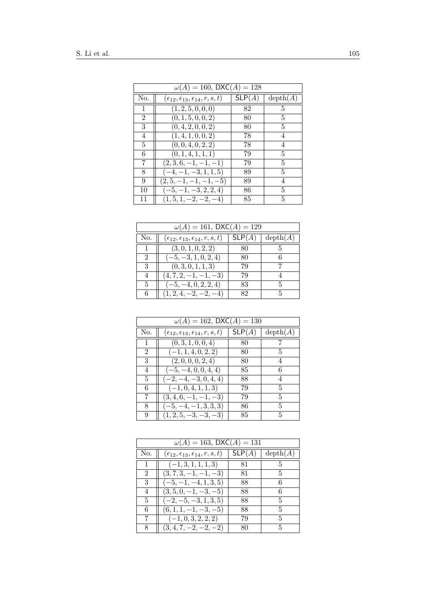|                | $\omega(A) = 160$ , DXC(A) = 128                         |        |                           |  |  |  |  |
|----------------|----------------------------------------------------------|--------|---------------------------|--|--|--|--|
| No.            | $(\epsilon_{12}, \epsilon_{13}, \epsilon_{14}, r, s, t)$ | SLP(A) | $\operatorname{depth}(A)$ |  |  |  |  |
| 1              | (1, 2, 5, 0, 0, 0)                                       | 82     | 5                         |  |  |  |  |
| $\overline{2}$ | (0, 1, 5, 0, 0, 2)                                       | 80     | 5                         |  |  |  |  |
| 3              | (0, 4, 2, 0, 0, 2)                                       | 80     | 5                         |  |  |  |  |
| 4              | (1, 4, 1, 0, 0, 2)                                       | 78     | 4                         |  |  |  |  |
| 5              | (0,0,4,0,2,2)                                            | 78     | 4                         |  |  |  |  |
| 6              | (0, 1, 4, 1, 1, 1)                                       | 79     | 5                         |  |  |  |  |
| 7              | $(2,3,6,-1,-1,-1)$                                       | 79     | 5                         |  |  |  |  |
| 8              | $(-4, -1, -3, 1, 1, 5)$                                  | 89     | 5                         |  |  |  |  |
| 9              | $(2, 5, -1, -1, -1, -5)$                                 | 89     | 4                         |  |  |  |  |
| 10             | $(-5, -1, -3, 2, 2, 4)$                                  | 86     | 5                         |  |  |  |  |
| 11             | $(1, 5, 1, -2, -2, -4)$                                  | 85     | 5                         |  |  |  |  |

| $\omega(A) = 161$ , DXC(A) = 129 |                                                          |        |                           |
|----------------------------------|----------------------------------------------------------|--------|---------------------------|
| No.                              | $(\epsilon_{12}, \epsilon_{13}, \epsilon_{14}, r, s, t)$ | SLP(A) | $\operatorname{depth}(A)$ |
|                                  | (3,0,1,0,2,2)                                            | 80     | 5                         |
| $\mathfrak{D}$                   | $(-5, -3, 1, 0, 2, 4)$                                   | 80     | 6                         |
| 3                                | (0,3,0,1,1,3)                                            | 79     |                           |
| 4                                | $(4, 7, 2, -1, -1, -3)$                                  | 79     |                           |
| 5                                | $(-5, -4, 0, 2, 2, 4)$                                   | 83     | 5                         |
| 6                                | $(1, 2, 4, -2, -2, -4)$                                  | 82     | 5                         |

| $\omega(A) = 162$ , DXC(A) = 130 |                                                          |        |          |
|----------------------------------|----------------------------------------------------------|--------|----------|
| No.                              | $(\epsilon_{12}, \epsilon_{13}, \epsilon_{14}, r, s, t)$ | SLP(A) | depth(A) |
| 1                                | (0,3,1,0,0,4)                                            | 80     | 7        |
| 2                                | $(-1, 1, 4, 0, 2, 2)$                                    | 80     | 5        |
| 3                                | (2,0,0,0,2,4)                                            | 80     | 4        |
| 4                                | $(-5, -4, 0, 0, 4, 4)$                                   | 85     | 6        |
| 5                                | $(-2, -4, -3, 0, 4, 4)$                                  | 88     | 4        |
| 6                                | $(-1, 0, 4, 1, 1, 3)$                                    | 79     | 5        |
| 7                                | $(3, 4, 6, -1, -1, -3)$                                  | 79     | 5        |
| 8                                | $(-5, -4, -1, 3, 3, 3)$                                  | 86     | 5        |
| 9                                | $(1, 2, 5, -3, -3, -3)$                                  | 85     | 5        |

| $\omega(A) = 163$ , DXC(A) = 131 |                                                          |        |               |
|----------------------------------|----------------------------------------------------------|--------|---------------|
| No.                              | $(\epsilon_{12}, \epsilon_{13}, \epsilon_{14}, r, s, t)$ | SLP(A) | depth(A)      |
|                                  | $(-1,3,1,1,1,3)$                                         | 81     | $\mathbf{5}$  |
| $\overline{2}$                   | $(3, 7, 3, -1, -1, -3)$                                  | 81     | 5             |
| 3                                | $(-5, -1, -4, 1, 3, 5)$                                  | 88     | 6             |
| 4                                | $(3,5,0,-1,-3,-5)$                                       | 88     | 6             |
| 5                                | $(-2, -5, -3, 1, 3, 5)$                                  | 88     | 5             |
| 6                                | $(6, 1, 1, -1, -3, -5)$                                  | 88     | 5             |
| 7                                | $(-1, 0, 3, 2, 2, 2)$                                    | 79     | $\frac{5}{2}$ |
| 8                                | $(3, 4, 7, -2, -2, -2)$                                  | 80     | 5             |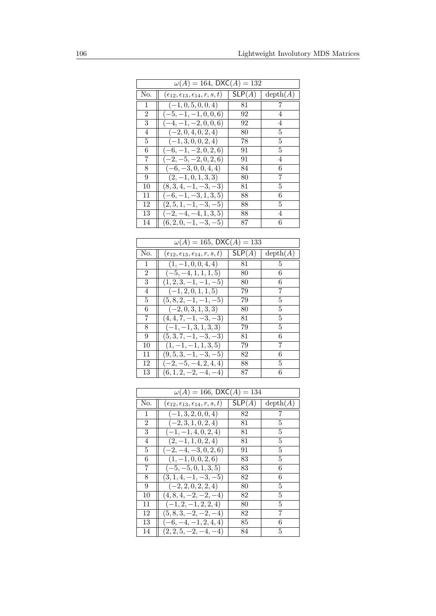| $\omega(A) = 164$ , DXC(A) = 132 |                                                          |        |                           |  |
|----------------------------------|----------------------------------------------------------|--------|---------------------------|--|
| No.                              | $(\epsilon_{12}, \epsilon_{13}, \epsilon_{14}, r, s, t)$ | SLP(A) | $\operatorname{depth}(A)$ |  |
| 1                                | $(-1, 0, 5, 0, 0, 4)$                                    | 81     | 7                         |  |
| 2                                | $(-5, -1, -1, 0, 0, 6)$                                  | 92     | 4                         |  |
| 3                                | $(-4, -1, -2, 0, 0, 6)$                                  | 92     | 4                         |  |
| 4                                | $(-2, 0, 4, 0, 2, 4)$                                    | 80     | 5                         |  |
| 5                                | $(-1, 3, 0, 0, 2, 4)$                                    | 78     | 5                         |  |
| 6                                | $(-6, -1, -2, 0, 2, 6)$                                  | 91     | 5                         |  |
| 7                                | $(-2, -5, -2, 0, 2, 6)$                                  | 91     | 4                         |  |
| 8                                | $(-6, -3, 0, 0, 4, 4)$                                   | 84     | 6                         |  |
| 9                                | $(2,-1,0,1,3,3)$                                         | 80     | 7                         |  |
| 10                               | $(8,3,4,-1,-3,-3)$                                       | 81     | 5                         |  |
| 11                               | $(-6, -1, -3, 1, 3, 5)$                                  | 88     | 6                         |  |
| 12                               | $(2, 5, 1, -1, -3, -5)$                                  | 88     | 5                         |  |
| 13                               | $(-2, -4, -4, 1, 3, 5)$                                  | 88     | 4                         |  |
| 14                               | $(6, 2, 0, -1, -3, -5)$                                  | 87     | 6                         |  |
|                                  |                                                          |        |                           |  |

| $\omega(A) = 165$ , DXC(A) = 133 |                                                     |        |          |  |
|----------------------------------|-----------------------------------------------------|--------|----------|--|
| No.                              | $(\epsilon_{12},\epsilon_{13},\epsilon_{14},r,s,t)$ | SLP(A) | depth(A) |  |
| 1                                | $(1, -1, 0, 0, 4, 4)$                               | 81     | 5        |  |
| $\overline{2}$                   | $(-5, -4, 1, 1, 1, 5)$                              | 80     | 6        |  |
| 3                                | $(1, 2, 3, -1, -1, -5)$                             | 80     | 6        |  |
| 4                                | $(-1, 2, 0, 1, 1, 5)$                               | 79     | 7        |  |
| 5                                | $(5, 8, 2, -1, -1, -5)$                             | 79     | 5        |  |
| 6                                | $(-2,0,3,1,3,3)$                                    | 80     | 5        |  |
| 7                                | $(4, 4, 7, -1, -3, -3)$                             | 81     | 5        |  |
| 8                                | $(-1, -1, 3, 1, 3, 3)$                              | 79     | 5        |  |
| 9                                | $(5,3,7,-1,-3,-3)$                                  | 81     | 6        |  |
| 10                               | $(1, -1, -1, 1, 3, 5)$                              | 79     | 7        |  |
| 11                               | $(9,5,3,-1,-3,-5)$                                  | 82     | 6        |  |
| 12                               | $(-2, -5, -4, 2, 4, 4)$                             | 88     | 5        |  |
| 13                               | $(6, 1, 2, -2, -4, -4)$                             | 87     | 6        |  |

| $\omega(A) = 166$ , DXC(A) = 134 |                                                     |        |          |  |
|----------------------------------|-----------------------------------------------------|--------|----------|--|
| No.                              | $(\epsilon_{12},\epsilon_{13},\epsilon_{14},r,s,t)$ | SLP(A) | depth(A) |  |
| 1                                | $(-1, 3, 2, 0, 0, 4)$                               | 82     | 7        |  |
| $\overline{2}$                   | $(-2, 3, 1, 0, 2, 4)$                               | 81     | 5        |  |
| 3                                | $(-1, -1, 4, 0, 2, 4)$                              | 81     | 5        |  |
| 4                                | $(2, -1, 1, 0, 2, 4)$                               | 81     | 5        |  |
| 5                                | $(-2, -4, -3, 0, 2, 6)$                             | 91     | 5        |  |
| 6                                | $(1, -1, 0, 0, 2, 6)$                               | 83     | 5        |  |
| 7                                | $(-5, -5, 0, 1, 3, 5)$                              | 83     | 6        |  |
| 8                                | $(3, 1, 4, -1, -3, -5)$                             | 82     | 6        |  |
| 9                                | $(-2, 2, 0, 2, 2, 4)$                               | 80     | 5        |  |
| 10                               | $(4, 8, 4, -2, -2, -4)$                             | 82     | 5        |  |
| 11                               | $(-1, 2, -1, 2, 2, 4)$                              | 80     | 5        |  |
| 12                               | $(5, 8, 3, -2, -2, -4)$                             | 82     | 7        |  |
| 13                               | $(-6, -4, -1, 2, 4, 4)$                             | 85     | 6        |  |
| 14                               | $(2, 2, 5, -2, -4, -4)$                             | 84     | 5        |  |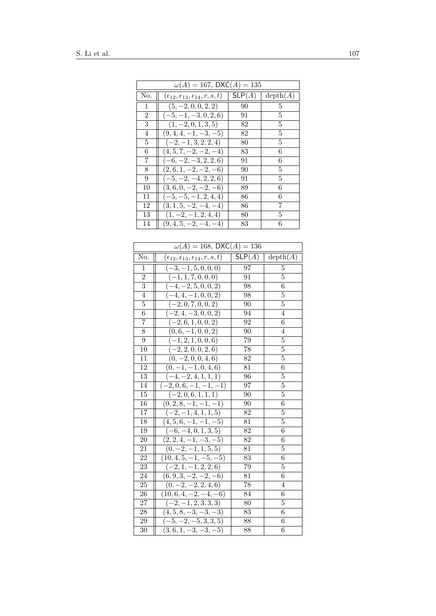| $\omega(A) = 167$ , DXC $(A) = 135$ |                                                     |        |          |  |
|-------------------------------------|-----------------------------------------------------|--------|----------|--|
| No.                                 | $(\epsilon_{12},\epsilon_{13},\epsilon_{14},r,s,t)$ | SLP(A) | depth(A) |  |
| $\mathbf{1}$                        | $(5, -2, 0, 0, 2, 2)$                               | 90     | 5        |  |
| 2                                   | $(-5, -1, -3, 0, 2, 6)$                             | 91     | 5        |  |
| 3                                   | $(1, -2, 0, 1, 3, 5)$                               | 82     | 5        |  |
| 4                                   | $(9,4,4,-1,-3,-5)$                                  | 82     | 5        |  |
| 5                                   | $(-2, -1, 3, 2, 2, 4)$                              | 80     | 5        |  |
| 6                                   | $(4, 5, 7, -2, -2, -4)$                             | 83     | 6        |  |
| 7                                   | $(-6, -2, -3, 2, 2, 6)$                             | 91     | 6        |  |
| 8                                   | $(2,6,1,-2,-2,-6)$                                  | 90     | 5        |  |
| 9                                   | $(-5, -2, -4, 2, 2, 6)$                             | 91     | 5        |  |
| 10                                  | $(3,6,0,-2,-2,-6)$                                  | 89     | 6        |  |
| 11                                  | $(-5, -5, -1, 2, 4, 4)$                             | 86     | 6        |  |
| 12                                  | $(3, 1, 5, -2, -4, -4)$                             | 86     | 7        |  |
| 13                                  | $(1, -2, -1, 2, 4, 4)$                              | 80     | 5        |  |
| 14                                  | $(9,4,5,-2,-4,-4)$                                  | 83     | 6        |  |

| $\overline{\omega(A)} = 168$ , DXC(A) = 136 |                                                     |                              |                |
|---------------------------------------------|-----------------------------------------------------|------------------------------|----------------|
| No.                                         | $(\epsilon_{12},\epsilon_{13},\epsilon_{14},r,s,t)$ | $\overline{\mathsf{SLP}}(A)$ | depth(A)       |
| 1                                           | $(-3, -1, 5, 0, 0, 0)$                              | 97                           | 5              |
| $\overline{2}$                              | $(-1, 1, 7, 0, 0, 0)$                               | 91                           | 5              |
| 3                                           | $\overline{(-4,-2,5,0,0,2)}$                        | 98                           | 6              |
| 4                                           | $-4, 4, -1, 0, 0, 2)$<br>$\overline{(-)}$           | 98                           | 5              |
| 5                                           | $(-2,0,7,0,\overline{0,2})$                         | 90                           | 5              |
| 6                                           | $\overline{(-2,4,-3,0,0,2)}$                        | 94                           | 4              |
| 7                                           | $\left(-\overline{2,6,1,0,0,2}\right)$              | 92                           | $\overline{6}$ |
| 8                                           | $(0,6,-1,0,0,2)$                                    | 90                           | 4              |
| 9                                           | $(-1, 2, 1, 0, 0, 6)$                               | 79                           | 5              |
| 10                                          | $\overline{(-2,2,0,0,2,6)}$                         | 78                           | 5              |
| 11                                          | $(0, -2, 0, 0, 4, 6)$                               | 82                           | 5              |
| 12                                          | $(0, -1, -1, 0, 4, 6)$                              | 81                           | 6              |
| 13                                          | $\overline{(-4,-2,4,1,1,1)}$                        | 96                           | 5              |
| 14                                          | $(-2,0,6,-1,-1,-1)$                                 | 97                           | 5              |
| 15                                          | $(-2,0,6,1,1,1)$                                    | 90                           | 5              |
| 16                                          | $(0, 2, 8, -1, -1, -1)$                             | 90                           | 6              |
| 17                                          | $\overline{(-2,-1,4,1,1,5)}$                        | 82                           | 5              |
| 18                                          | $(4, 5, 6, -1, -1, -5)$                             | 81                           | $\overline{5}$ |
| 19                                          | $(-6, -4, 0, 1, 3, 5)$                              | 82                           | 6              |
| 20                                          | $(2, 2, 4, \overline{-1, -3, -5})$                  | 82                           | 6              |
| 21                                          | $(0, -2, -1, 1, 5, 5)$                              | 81                           | 5              |
| 22                                          | $(10, 4, 5, -1, -5, -5)$                            | 83                           | 6              |
| 23                                          | $(-2, 1, -1, 2, 2, 6)$                              | 79                           | 5              |
| 24                                          | $(6, 9, 3, \overline{-2, -2, -6})$                  | 81                           | $\overline{6}$ |
| 25                                          | $(0, -2, -2, 2, 4, 6)$                              | 78                           | 4              |
| 26                                          | $(10, 6, 4, -2, -4, -6)$                            | 84                           | 6              |
| 27                                          | $\overline{(-2,-1,2,3,3,3)}$                        | 80                           | 5              |
| 28                                          | $(4, 5, 8, -3, \overline{-3, -3})$                  | 83                           | 6              |
| 29                                          | $(-5, -2, -5, 3, 3, 5)$                             | 88                           | 6              |
| $\overline{30}$                             | $(3,6,1,-3,-3,-5)$                                  | 88                           | 6              |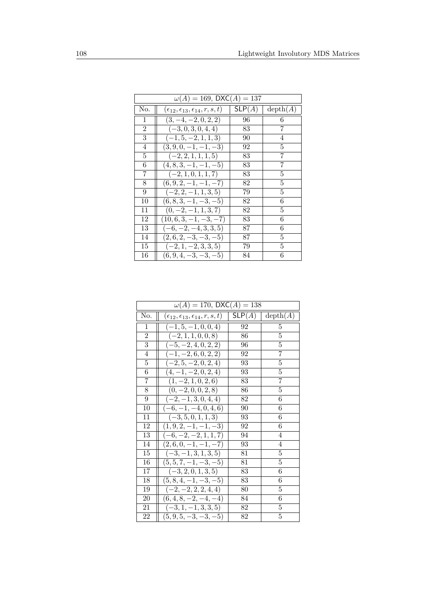| $\omega(A) = 169$ , DXC(A) = 137 |                                                          |        |                |
|----------------------------------|----------------------------------------------------------|--------|----------------|
| No.                              | $(\epsilon_{12}, \epsilon_{13}, \epsilon_{14}, r, s, t)$ | SLP(A) | depth(A)       |
| 1                                | $(3, -4, -2, 0, 2, 2)$                                   | 96     | 6              |
| $\overline{2}$                   | $(-3, 0, 3, 0, 4, 4)$                                    | 83     | 7              |
| 3                                | $(-1, 5, -2, 1, 1, 3)$                                   | 90     | $\overline{4}$ |
| $\overline{4}$                   | $(3, 9, 0, -1, -1, -3)$                                  | 92     | $\overline{5}$ |
| $\overline{5}$                   | $(-2, 2, 1, 1, 1, 5)$                                    | 83     | 7              |
| 6                                | $(4, 8, 3, -1, -1, -5)$                                  | 83     | $\overline{7}$ |
| 7                                | $(-2, 1, 0, 1, 1, 7)$                                    | 83     | $\overline{5}$ |
| 8                                | $(6, 9, 2, -1, -1, -7)$                                  | 82     | $\overline{5}$ |
| 9                                | $(-2, 2, -1, 1, 3, 5)$                                   | 79     | $\overline{5}$ |
| 10                               | $(6, 8, 3, -1, -3, -5)$                                  | 82     | 6              |
| 11                               | $(0, -2, -1, 1, 3, 7)$                                   | 82     | $\overline{5}$ |
| 12                               | $(10, 6, 3, -1, -3, -7)$                                 | 83     | 6              |
| 13                               | $(-6, -2, -4, 3, 3, 5)$                                  | 87     | 6              |
| 14                               | $(2,6,2,-3,-3,-5)$                                       | 87     | 5              |
| 15                               | $(-2, 1, -2, 3, 3, 5)$                                   | 79     | 5              |
| 16                               | $(6, 9, 4, -3, -3, -5)$                                  | 84     | 6              |

| $\omega(A) = 170$ , DXC(A) = 138 |                                                     |                   |                           |
|----------------------------------|-----------------------------------------------------|-------------------|---------------------------|
| No.                              | $(\epsilon_{12},\epsilon_{13},\epsilon_{14},r,s,t)$ | $\mathsf{SLP}(A)$ | $\operatorname{depth}(A)$ |
| $\mathbf{1}$                     | $(-1, 5, -1, 0, 0, 4)$                              | 92                | 5                         |
| $\overline{2}$                   | $(-2, 1, 1, 0, 0, 8)$                               | 86                | 5                         |
| 3                                | $(-5, -2, 4, 0, 2, 2)$                              | 96                | 5                         |
| $\overline{4}$                   | $(-1, -2, 6, 0, 2, 2)$                              | 92                | 7                         |
| $\bf 5$                          | $(-2, 5, -2, 0, 2, 4)$                              | 93                | 5                         |
| 6                                | $(4, -1, -2, 0, 2, 4)$                              | 93                | 5                         |
| 7                                | $(1, -2, 1, 0, 2, 6)$                               | 83                | 7                         |
| 8                                | $(0, -2, 0, 0, 2, 8)$                               | 86                | 5                         |
| 9                                | $(-2, -1, 3, 0, 4, 4)$                              | 82                | 6                         |
| 10                               | $(-6, -1, -4, 0, 4, 6)$                             | 90                | 6                         |
| 11                               | $(-3, 5, 0, 1, 1, 3)$                               | 93                | 6                         |
| 12                               | $(1, 9, 2, -1, -1, -3)$                             | 92                | 6                         |
| 13                               | $(-6, -2, -2, 1, 1, 7)$                             | 94                | 4                         |
| 14                               | $(2,6,0,-1,-1,-7)$                                  | 93                | 4                         |
| 15                               | $(-3, -1, 3, 1, 3, 5)$                              | 81                | 5                         |
| 16                               | $(5, 5, 7, -1, -3, -5)$                             | 81                | 5                         |
| 17                               | $(-3, 2, 0, 1, 3, 5)$                               | 83                | 6                         |
| 18                               | $(5, 8, 4, -1, -3, -5)$                             | 83                | 6                         |
| 19                               | $(-2, -2, 2, 2, 4, 4)$                              | 80                | 5                         |
| 20                               | $(6,4,8,-2,-4,-4)$                                  | 84                | 6                         |
| 21                               | $(-3, 1, -1, 3, 3, 5)$                              | 82                | $\overline{5}$            |
| 22                               | $(5, 9, 5, -3, -3, -5)$                             | 82                | 5                         |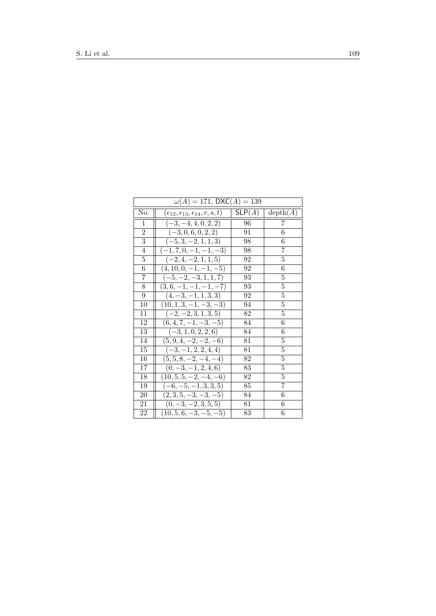|                  | $\omega(A) = 171$ , DXC(A) = 139                    |        |                           |  |
|------------------|-----------------------------------------------------|--------|---------------------------|--|
| No.              | $(\epsilon_{12},\epsilon_{13},\epsilon_{14},r,s,t)$ | SLP(A) | $\operatorname{depth}(A)$ |  |
| 1                | $(-3, -4, 4, 0, 2, 2)$                              | 96     | 7                         |  |
| $\boldsymbol{2}$ | $(-3, 0, 6, 0, 2, 2)$                               | 91     | 6                         |  |
| 3                | $(-5, 3, -2, 1, 1, 3)$                              | 98     | 6                         |  |
| 4                | $(-1, 7, 0, -1, -1, -3)$                            | 98     | 7                         |  |
| 5                | $(-2, 4, -2, 1, 1, 5)$                              | 92     | 5                         |  |
| 6                | $(4, 10, 0, -1, -1, -5)$                            | 92     | 6                         |  |
| 7                | $(-5, -2, -3, 1, 1, 7)$                             | 93     | $\overline{5}$            |  |
| 8                | $(3,6,-1,-1,-1,-7)$                                 | 93     | 5                         |  |
| 9                | $(4, -3, -1, 1, 3, 3)$                              | 92     | 5                         |  |
| 10               | $(10, 1, 3, -1, -3, -3)$                            | 94     | 5                         |  |
| 11               | $(-2, -2, 3, 1, 3, 5)$                              | 82     | 5                         |  |
| 12               | $(6, 4, 7, -1, -3, -5)$                             | 84     | 6                         |  |
| 13               | $(-3, 1, 0, 2, 2, 6)$                               | 84     | 6                         |  |
| 14               | $(5, 9, 4, -2, -2, -6)$                             | 81     | 5                         |  |
| 15               | $(-3, -1, 2, 2, 4, 4)$                              | 81     | 5                         |  |
| 16               | $(5,5,8,-2,-4,-4)$                                  | 82     | 5                         |  |
| 17               | $(0, -3, -1, 2, 4, 6)$                              | 83     | 5                         |  |
| 18               | $(10, 5, 5, -2, -4, -6)$                            | 82     | 5                         |  |
| 19               | $(-6, -5, -1, 3, 3, 5)$                             | 85     | 7                         |  |
| 20               | $(2,3,5,-3,-3,-5)$                                  | 84     | 6                         |  |
| 21               | $(0, -3, -2, 3, 5, 5)$                              | 81     | 6                         |  |
| 22               | $(10, 5, 6, -3, -5, -5)$                            | 83     | 6                         |  |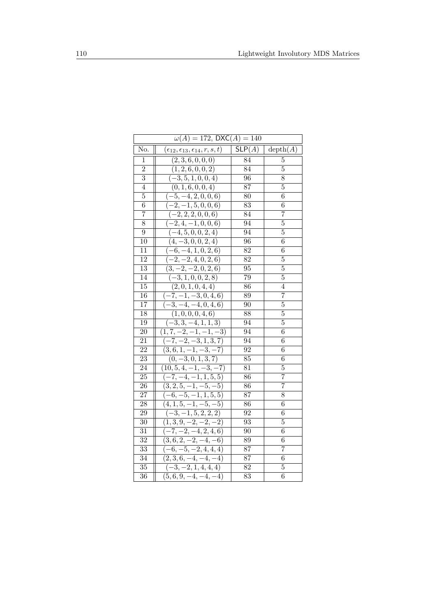|                 | $\omega(A) = 172$ , DXC(A) = 140                         |        |                           |  |
|-----------------|----------------------------------------------------------|--------|---------------------------|--|
| No.             | $(\epsilon_{12}, \epsilon_{13}, \epsilon_{14}, r, s, t)$ | SLP(A) | $\operatorname{depth}(A)$ |  |
| 1               | (2, 3, 6, 0, 0, 0)                                       | 84     | 5                         |  |
| $\overline{2}$  | (1, 2, 6, 0, 0, 2)                                       | 84     | 5                         |  |
| 3               | $(-3, 5, 1, 0, 0, 4)$                                    | 96     | 8                         |  |
| 4               | (0, 1, 6, 0, 0, 4)                                       | 87     | $\overline{5}$            |  |
| 5               | $(-5, -4, 2, 0, 0, 6)$                                   | 80     | 6                         |  |
| 6               | $(-2, -1, 5, 0, 0, 6)$                                   | 83     | 6                         |  |
| 7               | $\overline{(-2,2,2,0,0,6)}$                              | 84     | 7                         |  |
| 8               | $(-2, 4, -1, 0, 0, 6)$                                   | 94     | 5                         |  |
| 9               | $(-4, 5, 0, 0, 2, 4)$                                    | 94     | 5                         |  |
| 10              | $(4, -3, 0, 0, 2, 4)$                                    | 96     | 6                         |  |
| 11              | $(-6, -4, \overline{1, 0, 2, 6})$                        | 82     | $\overline{6}$            |  |
| 12              | $-2, -2, 4, 0, 2, 6)$                                    | 82     | 5                         |  |
| 13              | $(3, -2, -2, 0, 2, 6)$                                   | 95     | 5                         |  |
| 14              | $(-3, 1, 0, 0, 2, 8)$                                    | 79     | $\overline{5}$            |  |
| 15              | (2,0,1,0,4,4)                                            | 86     | 4                         |  |
| 16              | $-7, -1, -3, 0, 4, 6$<br>( –                             | 89     | 7                         |  |
| 17              | $\overline{(-3,-4,-4,0,4,6)}$                            | 90     | 5                         |  |
| 18              | (1,0,0,0,4,6)                                            | 88     | 5                         |  |
| 19              | $\overline{(-3,3,-4,1,1,3)}$                             | 94     | 5                         |  |
| 20              | $\overline{(1,7,-2,-1,-1,-3)}$                           | 94     | $\boldsymbol{6}$          |  |
| $\overline{2}1$ | $\overline{(-7,-2,-3,1,3,7)}$                            | 94     | 6                         |  |
| 22              | $(3,6,1,-1,-3,-7)$                                       | 92     | 6                         |  |
| 23              | $(0, -3, 0, 1, 3, 7)$                                    | 85     | 6                         |  |
| 24              | $(10, 5, 4, -1, -3, -7)$                                 | 81     | 5                         |  |
| $\overline{2}5$ | $(-7, -4, -1, 1, 5, 5)$                                  | 86     | $\overline{7}$            |  |
| 26              | $(3, 2, 5, -1, -5, -5)$                                  | 86     | $\overline{7}$            |  |
| $\overline{27}$ | $(-6, -5, -1, 1, 5, 5)$                                  | 87     | 8                         |  |
| 28              | $(4, 1, 5, -1, -5, -5)$                                  | 86     | 6                         |  |
| 29              | $\overline{(-3,-1,5,2,2,2)}$                             | 92     | 6                         |  |
| 30              | $(1,3,9,-2,-2,-2)$                                       | 93     | 5                         |  |
| 31              | $\overline{(-7,-2,-4,2,4,6)}$                            | 90     | 6                         |  |
| $\overline{32}$ | $(3,6,2,-2,-4,-6)$                                       | 89     | 6                         |  |
| 33              | $(-6, -5, -2, 4, 4, 4)$                                  | 87     | $\overline{7}$            |  |
| 34              | $\overline{(2,3,6,-4,-4,-4)}$                            | 87     | 6                         |  |
| 35              | $(-3, -2, 1, 4, 4, 4)$                                   | 82     | 5                         |  |
| 36              | $(5,6,9,-4,-4,-4)$                                       | 83     | $\overline{6}$            |  |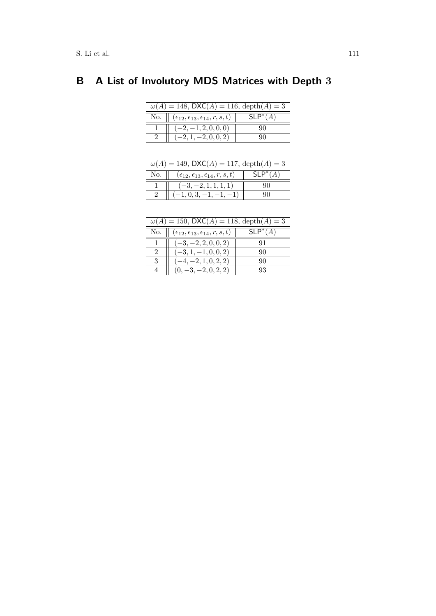# <span id="page-27-0"></span>**B A List of Involutory MDS Matrices with Depth 3**

| $\omega(A) = 148$ , DXC(A) = 116, depth(A) = 3 |                                                               |            |
|------------------------------------------------|---------------------------------------------------------------|------------|
|                                                | No. $( \epsilon_{12}, \epsilon_{13}, \epsilon_{14}, r, s, t)$ | $SLP^*(A)$ |
|                                                | $(-2, -1, 2, 0, 0, 0)$                                        | 90         |
|                                                | $(-2, 1, -2, 0, 0, 2)$                                        |            |

| $\omega(A) = 149$ , DXC(A) = 117, depth(A) = 3 |                                                     |            |
|------------------------------------------------|-----------------------------------------------------|------------|
| No.                                            | $(\epsilon_{12},\epsilon_{13},\epsilon_{14},r,s,t)$ | $SLP^*(A)$ |
|                                                | $(-3, -2, 1, 1, 1, 1)$                              |            |
|                                                | $(-1, 0, 3, -1, -1, -1)$                            |            |

| $\omega(A) = 150$ , DXC(A) = 118, depth(A) = 3 |                                                     |                                |
|------------------------------------------------|-----------------------------------------------------|--------------------------------|
| No.                                            | $(\epsilon_{12},\epsilon_{13},\epsilon_{14},r,s,t)$ | $\overline{\mathsf{SLP}^*(A)}$ |
|                                                | $(-3, -2, 2, 0, 0, 2)$                              | 91                             |
| $\mathcal{D}$                                  | $(-3, 1, -1, 0, 0, 2)$                              | 90                             |
| 3                                              | $(-4, -2, 1, 0, 2, 2)$                              | 90                             |
|                                                | $(0, -3, -2, 0, 2, 2)$                              | 93                             |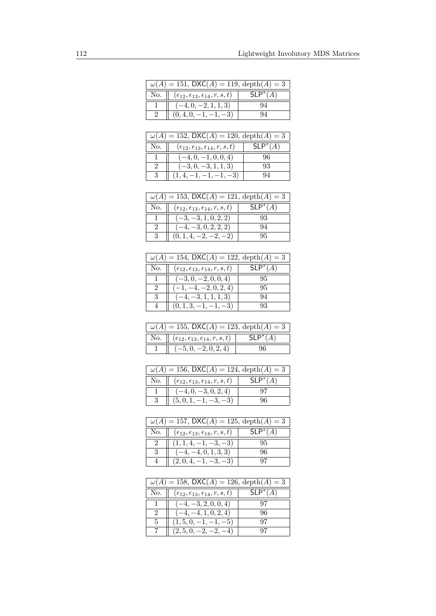| $\omega(A) = 151$ , DXC(A) = 119, depth(A) = 3 |                                                     |            |
|------------------------------------------------|-----------------------------------------------------|------------|
| No.                                            | $(\epsilon_{12},\epsilon_{13},\epsilon_{14},r,s,t)$ | $SLP^*(A)$ |
|                                                | $-4, 0, -2, 1, 1, 3)$                               | 94         |
|                                                | $(0,4,0,-1,-1,-3)$                                  |            |

| $\omega(A) = 152$ , DXC(A) = 120, depth(A) = 3 |                                                          |            |
|------------------------------------------------|----------------------------------------------------------|------------|
| No.                                            | $(\epsilon_{12}, \epsilon_{13}, \epsilon_{14}, r, s, t)$ | $SLP^*(A)$ |
|                                                | $(-4, 0, -1, 0, 0, 4)$                                   | 96         |
| $\mathcal{D}$                                  | $(-3, 0, -3, 1, 1, 3)$                                   | 93         |
| 3                                              | $(1, 4, -1, -1, -1, -3)$                                 | 94         |

| $\omega(A) = 153$ , DXC(A) = 121, depth(A) = 3 |                                                     |            |
|------------------------------------------------|-----------------------------------------------------|------------|
| $\rm No.$ $\parallel$                          | $(\epsilon_{12},\epsilon_{13},\epsilon_{14},r,s,t)$ | $SLP^*(A)$ |
|                                                | $(-3, -3, 1, 0, 2, 2)$                              | 93         |
|                                                | $(-4, -3, 0, 2, 2, 2)$                              | 94         |
|                                                | $(0, 1, 4, -2, -2, -2)$                             | 95         |

| $\omega(A) = 154$ , DXC(A) = 122, depth(A) = 3 |                                                          |            |
|------------------------------------------------|----------------------------------------------------------|------------|
| No.                                            | $(\epsilon_{12}, \epsilon_{13}, \epsilon_{14}, r, s, t)$ | $SLP^*(A)$ |
|                                                | $(-3, 0, -2, 0, 0, 4)$                                   | 95         |
| 2                                              | $(-1, -4, -2, 0, 2, 4)$                                  | 95         |
| -3                                             | $(-4, -3, 1, 1, 1, 3)$                                   | 94         |
|                                                | $(0, 1, 3, -1, -1, -3)$                                  | QЗ         |

| $\omega(A) = 155$ , DXC(A) = 123, depth(A) = 3 |                                                                    |            |
|------------------------------------------------|--------------------------------------------------------------------|------------|
|                                                | No. $\  (\epsilon_{12}, \epsilon_{13}, \epsilon_{14}, r, s, t) \ $ | $SLP^*(A)$ |
|                                                | $(-5, 0, -2, 0, 2, 4)$                                             | -96        |

| $\omega(A) = 156$ , DXC(A) = 124, depth(A) = 3 |                                                          |            |
|------------------------------------------------|----------------------------------------------------------|------------|
| No.                                            | $(\epsilon_{12}, \epsilon_{13}, \epsilon_{14}, r, s, t)$ | $SLP^*(A)$ |
|                                                | $(-4,0,-3,0,2,4)$                                        | -97        |
|                                                | $(5,0,1,-1,-3,-3)$                                       |            |

| $\omega(A) = 157$ , DXC(A) = 125, depth(A) = 3 |                                                     |            |
|------------------------------------------------|-----------------------------------------------------|------------|
| $\mathbb{N}$ o. $\parallel$                    | $(\epsilon_{12},\epsilon_{13},\epsilon_{14},r,s,t)$ | $SLP^*(A)$ |
|                                                | $(1, 1, 4, -1, -3, -3)$                             | 95         |
| - 3                                            | $(-4, -4, 0, 1, 3, 3)$                              | 96         |
|                                                | $(2,0,4,-1,-3,-3)$                                  |            |

|     | $\omega(A) = 158$ , DXC(A) = 126, depth(A) = 3           |            |  |
|-----|----------------------------------------------------------|------------|--|
| No. | $(\epsilon_{12}, \epsilon_{13}, \epsilon_{14}, r, s, t)$ | $SLP^*(A)$ |  |
|     | $(-4, -3, 2, 0, 0, 4)$                                   |            |  |
| 2   | $(-4, -4, 1, 0, 2, 4)$                                   | 96         |  |
| 5   | $(1, 5, 0, -1, -1, -5)$                                  | 97         |  |
|     | $(2, 5, 0, -2, -2, -4)$                                  |            |  |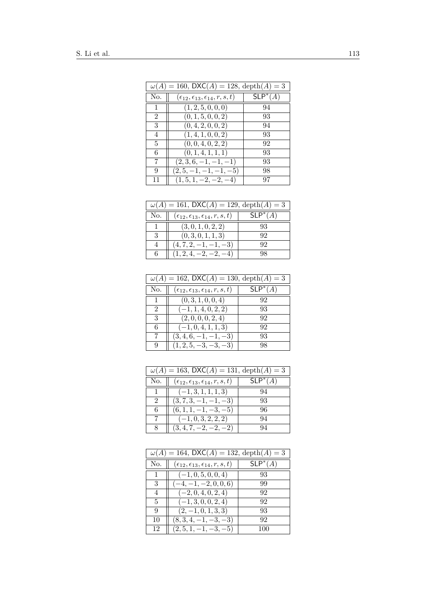| $\omega(A) = 160$ , DXC(A) = 128, depth(A) = 3 |                                                          |            |
|------------------------------------------------|----------------------------------------------------------|------------|
| No.                                            | $(\epsilon_{12}, \epsilon_{13}, \epsilon_{14}, r, s, t)$ | $SLP^*(A)$ |
| 1                                              | (1, 2, 5, 0, 0, 0)                                       | 94         |
| 2                                              | (0, 1, 5, 0, 0, 2)                                       | 93         |
| 3                                              | (0, 4, 2, 0, 0, 2)                                       | 94         |
| 4                                              | (1,4,1,0,0,2)                                            | 93         |
| 5                                              | (0, 0, 4, 0, 2, 2)                                       | 92         |
| 6                                              | (0, 1, 4, 1, 1, 1)                                       | 93         |
| 7                                              | $(2,3,6,-1,-1,-1)$                                       | 93         |
| 9                                              | $(2, 5, -1, -1, -1, -5)$                                 | 98         |
| 11                                             | $(1, 5, 1, -2, -2, -4)$                                  | 97         |

| $\omega(A) = 161$ , DXC(A) = 129, depth(A) = 3 |                                                          |            |
|------------------------------------------------|----------------------------------------------------------|------------|
| No.                                            | $(\epsilon_{12}, \epsilon_{13}, \epsilon_{14}, r, s, t)$ | $SLP^*(A)$ |
|                                                | (3,0,1,0,2,2)                                            | 93         |
| 3                                              | (0,3,0,1,1,3)                                            | 92         |
|                                                | $(4, 7, 2, -1, -1, -3)$                                  | 92         |
| 6                                              | $(1, 2, 4, -2, -2, -4)$                                  | 98         |

| $\omega(A) = 162$ , DXC(A) = 130, depth(A) = 3 |                                                          |            |
|------------------------------------------------|----------------------------------------------------------|------------|
| No.                                            | $(\epsilon_{12}, \epsilon_{13}, \epsilon_{14}, r, s, t)$ | $SLP^*(A)$ |
|                                                | (0, 3, 1, 0, 0, 4)                                       | 92         |
| $\mathcal{D}$                                  | $(-1, 1, 4, 0, 2, 2)$                                    | 93         |
| 3                                              | (2,0,0,0,2,4)                                            | 92         |
| 6                                              | $(-1, 0, 4, 1, 1, 3)$                                    | 92         |
|                                                | $(3, 4, 6, -1, -1, -3)$                                  | 93         |
|                                                | $(1, 2, 5, -3, -3, -3)$                                  | 98         |

| $\omega(A) = 163$ , DXC(A) = 131, depth(A) = 3 |                                                          |            |
|------------------------------------------------|----------------------------------------------------------|------------|
| No.                                            | $(\epsilon_{12}, \epsilon_{13}, \epsilon_{14}, r, s, t)$ | $SLP^*(A)$ |
|                                                | $(-1, 3, 1, 1, 1, 3)$                                    | 94         |
|                                                | $(3, 7, 3, -1, -1, -3)$                                  | 93         |
| 6                                              | $(6, 1, 1, -1, -3, -5)$                                  | 96         |
|                                                | $(-1, 0, 3, 2, 2, 2)$                                    | 94         |
|                                                | $(3, 4, 7, -2, -2, -2)$                                  | 94         |

| $\omega(A) = 164$ , DXC(A) = 132, depth(A) = 3 |                                                          |            |
|------------------------------------------------|----------------------------------------------------------|------------|
| No.                                            | $(\epsilon_{12}, \epsilon_{13}, \epsilon_{14}, r, s, t)$ | $SLP^*(A)$ |
|                                                | $(-1, 0, 5, 0, 0, 4)$                                    | 93         |
| 3                                              | $(-4, -1, -2, 0, 0, 6)$                                  | 99         |
| 4                                              | $(-2, 0, 4, 0, 2, 4)$                                    | 92         |
| 5                                              | $(-1, 3, 0, 0, 2, 4)$                                    | 92         |
| 9                                              | $(2,-1,0,1,3,3)$                                         | 93         |
| 10                                             | $(8,3,4,-1,-3,-3)$                                       | 92         |
| 12                                             | $(2, 5, 1, -1, -3, -5)$                                  | 100        |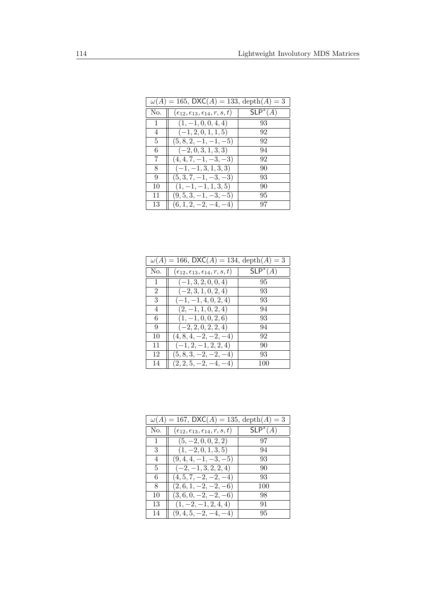| $\omega(A) = 165$ , DXC(A) = 133, depth(A) = 3 |                                                          |            |
|------------------------------------------------|----------------------------------------------------------|------------|
| No.                                            | $(\epsilon_{12}, \epsilon_{13}, \epsilon_{14}, r, s, t)$ | $SLP^*(A)$ |
| 1                                              | $(1, -1, 0, 0, 4, 4)$                                    | 93         |
| $\overline{4}$                                 | $(-1, 2, 0, 1, 1, 5)$                                    | 92         |
| 5                                              | $(5, 8, 2, -1, -1, -5)$                                  | 92         |
| 6                                              | $(-2,0,3,1,3,3)$                                         | 94         |
| 7                                              | $(4, 4, 7, -1, -3, -3)$                                  | 92         |
| 8                                              | $(-1, -1, 3, 1, 3, 3)$                                   | 90         |
| 9                                              | $(5,3,7,-1,-3,-3)$                                       | 93         |
| 10                                             | $(1, -1, -1, 1, 3, 5)$                                   | 90         |
| 11                                             | $(9, 5, 3, -1, -3, -5)$                                  | 95         |
| 13                                             | $(6, 1, 2, -2, -4, -4)$                                  | 97         |

| $\omega(A) = 166$ , DXC(A) = 134, depth(A) = 3 |                                                          |            |
|------------------------------------------------|----------------------------------------------------------|------------|
| No.                                            | $(\epsilon_{12}, \epsilon_{13}, \epsilon_{14}, r, s, t)$ | $SLP^*(A)$ |
| 1                                              | $(-1, 3, 2, 0, 0, 4)$                                    | 95         |
| $\overline{2}$                                 | $(-2,3,1,0,2,4)$                                         | 93         |
| 3                                              | $(-1, -1, 4, 0, 2, 4)$                                   | 93         |
| $\overline{4}$                                 | $(2,-1,1,0,2,4)$                                         | 94         |
| 6                                              | $(1, -1, 0, 0, 2, 6)$                                    | 93         |
| 9                                              | $(-2, 2, 0, 2, 2, 4)$                                    | 94         |
| 10                                             | $(4, 8, 4, -2, -2, -4)$                                  | 92         |
| 11                                             | $(-1, 2, -1, 2, 2, 4)$                                   | 90         |
| 12                                             | $(5, 8, 3, -2, -2, -4)$                                  | 93         |
| 14                                             | $(2, 2, 5, -2, -4, -4)$                                  | 100        |

| $\omega(A) = 167$ , DXC(A) = 135, depth(A) = 3 |                                                          |            |
|------------------------------------------------|----------------------------------------------------------|------------|
| No.                                            | $(\epsilon_{12}, \epsilon_{13}, \epsilon_{14}, r, s, t)$ | $SLP^*(A)$ |
| 1                                              | $(5, -2, 0, 0, 2, 2)$                                    | 97         |
| 3                                              | $(1, -2, 0, 1, 3, 5)$                                    | 94         |
| 4                                              | $(9,4,4,-1,-3,-5)$                                       | 93         |
| 5                                              | $(-2,-1,3,2,2,4)$                                        | 90         |
| 6                                              | $(4, 5, 7, -2, -2, -4)$                                  | 93         |
| 8                                              | $(2,6,1,-2,-2,-6)$                                       | 100        |
| 10                                             | $(3,6,0,-2,-2,-6)$                                       | 98         |
| 13                                             | $(1, -2, -1, 2, 4, 4)$                                   | 91         |
| 14                                             | $(9,4,5,-2,-4,-4)$                                       | 95         |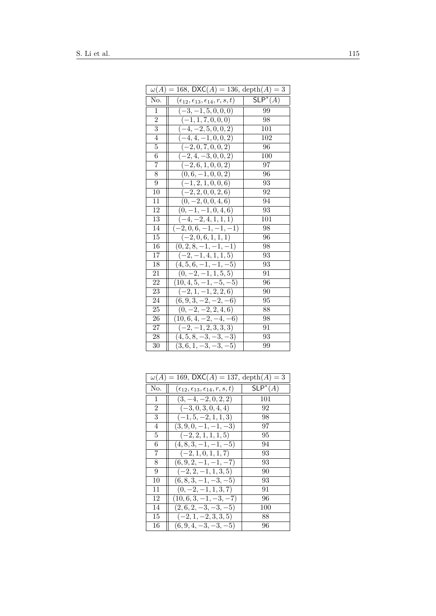| $\omega(A) = 168$ , DXC(A) = 136, depth(A) = 3 |                                                     |            |
|------------------------------------------------|-----------------------------------------------------|------------|
| No.                                            | $(\epsilon_{12},\epsilon_{13},\epsilon_{14},r,s,t)$ | $SLP^*(A)$ |
| 1                                              | $(-3, -1, 5, 0, 0, 0)$                              | 99         |
| $\overline{2}$                                 | $(-1, 1, 7, 0, 0, 0)$                               | 98         |
| $\overline{3}$                                 | $(-4, -2, 5, 0, 0, 2)$                              | 101        |
| 4                                              | $(-4, 4, -1, 0, 0, 2)$                              | 102        |
| $\overline{5}$                                 | $(-2, 0, 7, 0, 0, 2)$                               | 96         |
| 6                                              | $(-2, 4, -3, 0, 0, 2)$                              | 100        |
| $\overline{7}$                                 | $\overline{(-2,6,1,0,0,2)}$                         | 97         |
| 8                                              | $(0,6,-1,0,0,2)$                                    | 96         |
| 9                                              | $(-1, 2, 1, 0, 0, 6)$                               | 93         |
| 10                                             | $(-2, 2, 0, 0, 2, 6)$                               | 92         |
| 11                                             | $\overline{(0,-2,0,0,4,6)}$                         | 94         |
| 12                                             | $(0, -1, -1, 0, 4, 6)$                              | 93         |
| $\overline{13}$                                | $(-4, -2, 4, 1, 1, 1)$                              | 101        |
| 14                                             | $\overline{(-2},0,6,-1,-1,-1)$                      | 98         |
| 15                                             | $(-2,0,6,1,1,1)$                                    | 96         |
| 16                                             | $(0, 2, 8, -1, -1, \overline{-1})$                  | 98         |
| 17                                             | $(-2,-1,4,1,1,5)$                                   | 93         |
| 18                                             | $(4, 5, 6, -1, -1, -5)$                             | 93         |
| 21                                             | $(0, -2, -1, 1, 5, 5)$                              | 91         |
| 22                                             | $(10, 4, 5, -1, -5, -5)$                            | 96         |
| 23                                             | $(-2, 1, -1, 2, 2, 6)$                              | 90         |
| 24                                             | $(6, 9, 3, -2, -2, -6)$                             | 95         |
| 25                                             | $(0, -2, -2, 2, 4, 6)$                              | 88         |
| 26                                             | $(10, 6, 4, -2, -4, -6)$                            | 98         |
| 27                                             | $\overline{(-2,-1,2,3,3,3)}$                        | 91         |
| 28                                             | $(4, 5, 8, -3, -3, -3)$                             | 93         |
| 30                                             | $(3,6,1,-3,-3,-5)$                                  | 99         |

| $\omega(A) = 169$ , DXC(A) = 137, depth(A) = 3 |                                                          |            |
|------------------------------------------------|----------------------------------------------------------|------------|
| No.                                            | $(\epsilon_{12}, \epsilon_{13}, \epsilon_{14}, r, s, t)$ | $SLP^*(A)$ |
| $\mathbf{1}$                                   | $(3, -4, -2, 0, 2, 2)$                                   | 101        |
| 2                                              | $(-3, 0, 3, 0, 4, 4)$                                    | 92         |
| 3                                              | $(-1, 5, -2, 1, 1, 3)$                                   | 98         |
| 4                                              | $(3, 9, 0, -1, -1, -3)$                                  | 97         |
| 5                                              | $(-2, 2, 1, 1, 1, 5)$                                    | 95         |
| 6                                              | $(4, 8, 3, -1, -1, -5)$                                  | 94         |
| 7                                              | $(-2, 1, 0, 1, 1, 7)$                                    | 93         |
| 8                                              | $(6, 9, 2, -1, -1, -7)$                                  | 93         |
| 9                                              | $(-2, 2, -1, 1, 3, 5)$                                   | 90         |
| 10                                             | $(6, 8, 3, -1, -3, -5)$                                  | 93         |
| 11                                             | $(0, -2, -1, 1, 3, 7)$                                   | 91         |
| 12                                             | $(10, 6, 3, -1, -3, -7)$                                 | 96         |
| 14                                             | $(2,6,2,-3,-3,-5)$                                       | 100        |
| 15                                             | $(-2, 1, -2, 3, 3, 5)$                                   | 88         |
| 16                                             | $(6, 9, 4, -3, -3, -5)$                                  | 96         |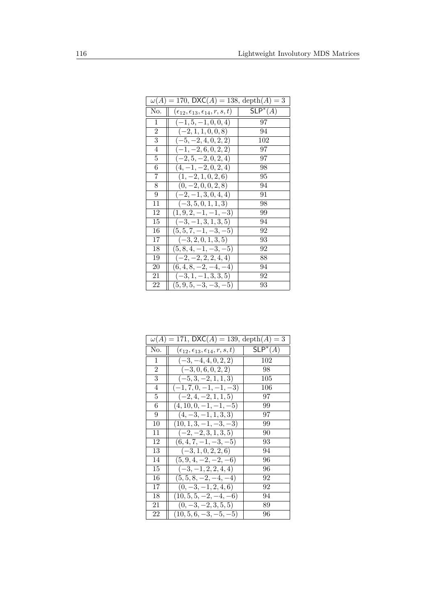| $\omega(A) = 170$ , DXC(A) = 138, depth(A) = 3 |                                                     |            |
|------------------------------------------------|-----------------------------------------------------|------------|
| No.                                            | $(\epsilon_{12},\epsilon_{13},\epsilon_{14},r,s,t)$ | $SLP^*(A)$ |
| 1                                              | $(-1, 5, -1, 0, 0, 4)$                              | 97         |
| $\overline{2}$                                 | $(-2, 1, 1, 0, 0, 8)$                               | 94         |
| 3                                              | $(-5, -2, 4, 0, 2, 2)$                              | 102        |
| 4                                              | $(-1, -2, 6, 0, 2, 2)$                              | 97         |
| 5                                              | $(-2, 5, -2, 0, 2, 4)$                              | 97         |
| 6                                              | $(4, -1, -2, 0, 2, 4)$                              | 98         |
| 7                                              | $(1, -2, 1, 0, 2, 6)$                               | 95         |
| 8                                              | $(0, -2, 0, 0, 2, 8)$                               | 94         |
| 9                                              | $(-2, -1, 3, 0, 4, 4)$                              | 91         |
| 11                                             | $(-3, 5, 0, 1, 1, 3)$                               | 98         |
| 12                                             | $(1, 9, 2, -1, -1, -3)$                             | 99         |
| 15                                             | $(-3, -1, 3, 1, 3, 5)$                              | 94         |
| 16                                             | $(5, 5, 7, -1, -3, -5)$                             | 92         |
| 17                                             | $(-3, 2, 0, 1, 3, 5)$                               | 93         |
| 18                                             | $(5, 8, 4, -1, -3, -5)$                             | 92         |
| 19                                             | $(-2, -2, 2, 2, 4, 4)$                              | 88         |
| 20                                             | $(6,4,8,-2,-4,-4)$                                  | 94         |
| 21                                             | $(-3, 1, -1, 3, 3, 5)$                              | 92         |
| 22                                             | $(5, 9, 5, -3, -3, -5)$                             | 93         |

| $\omega(A) = 171$ , DXC(A) = 139, depth(A) = 3 |                                                     |                     |
|------------------------------------------------|-----------------------------------------------------|---------------------|
| No.                                            | $(\epsilon_{12},\epsilon_{13},\epsilon_{14},r,s,t)$ | $\mathsf{SLP}^*(A)$ |
| $\mathbf{1}$                                   | $(-3, -4, 4, 0, 2, 2)$                              | 102                 |
| $\overline{2}$                                 | $(-3,0,6,0,2,2)$                                    | 98                  |
| 3                                              | $(-5, 3, -2, 1, 1, 3)$                              | 105                 |
| 4                                              | $(-1, 7, 0, -1, -1, -3)$                            | 106                 |
| 5                                              | $(-2, 4, -2, 1, 1, 5)$                              | 97                  |
| 6                                              | $(4, 10, 0, -1, -1, -5)$                            | 99                  |
| 9                                              | $(4, -3, -1, 1, 3, 3)$                              | 97                  |
| 10                                             | $(10, 1, 3, -1, -3, -3)$                            | 99                  |
| 11                                             | $(-2,-2,3,1,3,5)$                                   | 90                  |
| 12                                             | $(6, 4, 7, -1, -3, -5)$                             | 93                  |
| 13                                             | $(-3, 1, 0, 2, 2, 6)$                               | 94                  |
| 14                                             | $(5, 9, 4, -2, -2, -6)$                             | 96                  |
| 15                                             | $(-3, -1, 2, 2, 4, 4)$                              | 96                  |
| 16                                             | $(5,5,8,-2,-4,-4)$                                  | 92                  |
| 17                                             | $(0, -3, -1, 2, 4, 6)$                              | 92                  |
| 18                                             | $(10, 5, 5, -2, -4, -6)$                            | 94                  |
| 21                                             | $(0, -3, -2, 3, 5, 5)$                              | 89                  |
| 22                                             | $(10, 5, 6, -3, -5, -5)$                            | 96                  |